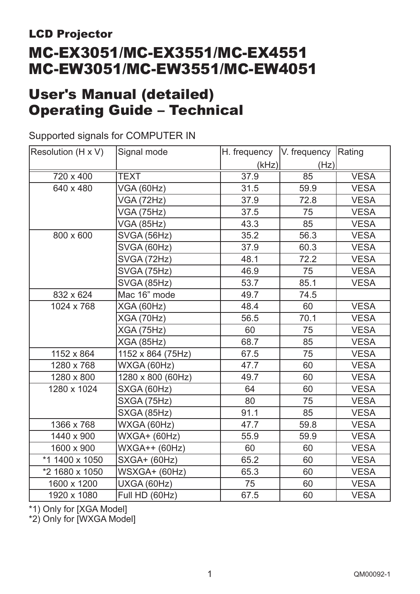# LCD Projector MC-EX3051/MC-EX3551/MC-EX4551 MC-EW3051/MC-EW3551/MC-EW4051

# User's Manual (detailed) Operating Guide – Technical

### Supported signals for COMPUTER IN

| Resolution (H x V)            | Signal mode          | H. frequency   V. frequency   Rating |      |             |
|-------------------------------|----------------------|--------------------------------------|------|-------------|
|                               |                      | (kHz)                                | (Hz) |             |
| 720 x 400                     | <b>TEXT</b>          | 37.9                                 | 85   | <b>VESA</b> |
| 640 x 480                     | VGA (60Hz)           | 31.5                                 | 59.9 | <b>VESA</b> |
|                               | <b>VGA (72Hz)</b>    |                                      | 72.8 | <b>VESA</b> |
|                               | <b>VGA (75Hz)</b>    | 37.5                                 | 75   | <b>VESA</b> |
|                               | <b>VGA (85Hz)</b>    | 43.3                                 | 85   | <b>VESA</b> |
| 800 x 600                     | SVGA (56Hz)          | 35.2                                 | 56.3 | <b>VESA</b> |
|                               | SVGA (60Hz)          | 37.9                                 | 60.3 | <b>VESA</b> |
|                               | SVGA (72Hz)          | 48.1                                 | 72.2 | <b>VESA</b> |
|                               | SVGA (75Hz)          | 46.9                                 | 75   | <b>VESA</b> |
|                               | SVGA (85Hz)          | 53.7                                 | 85.1 | <b>VESA</b> |
| 832 x 624                     | Mac 16" mode         | 49.7                                 | 74.5 |             |
| 1024 x 768                    | XGA (60Hz)           | 48.4                                 | 60   | <b>VESA</b> |
|                               | XGA (70Hz)           | 56.5                                 | 70.1 | <b>VESA</b> |
|                               | <b>XGA (75Hz)</b>    | 60                                   | 75   | <b>VESA</b> |
|                               | <b>XGA (85Hz)</b>    | 68.7                                 | 85   | <b>VESA</b> |
| 1152 x 864                    | 1152 x 864 (75Hz)    | 67.5                                 | 75   | <b>VESA</b> |
| 1280 x 768                    | WXGA (60Hz)          | 47.7                                 | 60   | <b>VESA</b> |
| 1280 x 800                    | 1280 x 800 (60Hz)    | 49.7                                 | 60   | <b>VESA</b> |
| 1280 x 1024                   | SXGA (60Hz)          | 64                                   | 60   | <b>VESA</b> |
|                               | SXGA (75Hz)          | 80                                   | 75   | <b>VESA</b> |
|                               | SXGA (85Hz)          | 91.1                                 | 85   | <b>VESA</b> |
| 1366 x 768                    | WXGA (60Hz)          | 47.7                                 | 59.8 | <b>VESA</b> |
| 1440 x 900                    | <b>WXGA+ (60Hz)</b>  | 55.9                                 | 59.9 | <b>VESA</b> |
| 1600 x 900                    | <b>WXGA++ (60Hz)</b> | 60                                   | 60   | <b>VESA</b> |
| *1 1400 x 1050                | <b>SXGA+ (60Hz)</b>  | 65.2                                 | 60   | <b>VESA</b> |
| *2 1680 x 1050                | WSXGA+ (60Hz)        | 65.3                                 | 60   | <b>VESA</b> |
| 1600 x 1200                   | UXGA (60Hz)          | 75                                   | 60   | <b>VESA</b> |
| Full HD (60Hz)<br>1920 x 1080 |                      | 67.5                                 | 60   | <b>VESA</b> |

\*1) Only for [XGA Model]

\*2) Only for [WXGA Model]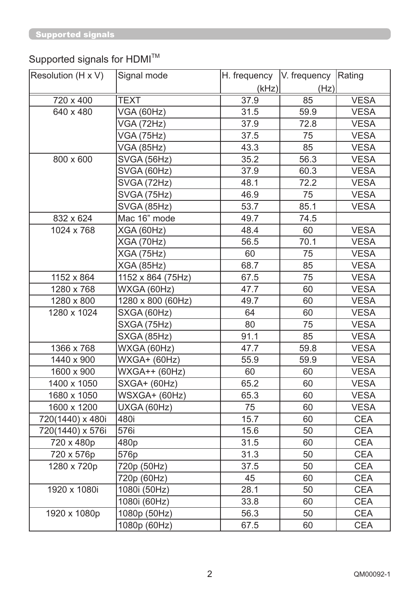# Supported signals for HDMI $^{TM}$

| Resolution (H x V) | Signal mode         | H. frequency | V. frequency Rating |             |
|--------------------|---------------------|--------------|---------------------|-------------|
|                    |                     | (kHz)        | (Hz)                |             |
| 720 x 400          | <b>TEXT</b>         | 37.9         | 85                  | <b>VESA</b> |
| 640 x 480          | VGA (60Hz)          | 31.5         | 59.9                | <b>VESA</b> |
|                    | <b>VGA (72Hz)</b>   | 37.9         | 72.8                | <b>VESA</b> |
|                    | <b>VGA (75Hz)</b>   | 37.5         | 75                  | <b>VESA</b> |
|                    | <b>VGA (85Hz)</b>   | 43.3         | 85                  | <b>VESA</b> |
| 800 x 600          | SVGA (56Hz)         | 35.2         | 56.3                | <b>VESA</b> |
|                    | SVGA (60Hz)         | 37.9         | 60.3                | <b>VESA</b> |
|                    | SVGA (72Hz)         | 48.1         | 72.2                | <b>VESA</b> |
|                    | SVGA (75Hz)         | 46.9         | 75                  | <b>VESA</b> |
|                    | SVGA (85Hz)         | 53.7         | 85.1                | <b>VESA</b> |
| 832 x 624          | Mac 16" mode        | 49.7         | 74.5                |             |
| 1024 x 768         | XGA (60Hz)          | 48.4         | 60                  | <b>VESA</b> |
|                    | <b>XGA (70Hz)</b>   | 56.5         | 70.1                | <b>VESA</b> |
|                    | <b>XGA (75Hz)</b>   | 60           | 75                  | <b>VESA</b> |
|                    | <b>XGA (85Hz)</b>   | 68.7         | 85                  | <b>VESA</b> |
| 1152 x 864         | 1152 x 864 (75Hz)   | 67.5         | 75                  | <b>VESA</b> |
| 1280 x 768         | WXGA (60Hz)         | 47.7         | 60                  | <b>VESA</b> |
| 1280 x 800         | 1280 x 800 (60Hz)   | 49.7         | 60                  | <b>VESA</b> |
| 1280 x 1024        | SXGA (60Hz)         | 64           | 60                  | <b>VESA</b> |
|                    | SXGA (75Hz)         | 80           | 75                  | <b>VESA</b> |
|                    | SXGA (85Hz)         | 91.1         | 85                  | <b>VESA</b> |
| 1366 x 768         | WXGA (60Hz)         | 47.7         | 59.8                | <b>VESA</b> |
| 1440 x 900         | <b>WXGA+ (60Hz)</b> | 55.9         | 59.9                | <b>VESA</b> |
| 1600 x 900         | WXGA++ (60Hz)       | 60           | 60                  | <b>VESA</b> |
| 1400 x 1050        | SXGA+ (60Hz)        | 65.2         | 60                  | <b>VESA</b> |
| 1680 x 1050        | WSXGA+ (60Hz)       | 65.3         | 60                  | <b>VESA</b> |
| 1600 x 1200        | UXGA (60Hz)         | 75           | 60                  | <b>VESA</b> |
| 720(1440) x 480i   | 480i                | 15.7         | 60                  | <b>CEA</b>  |
| 720(1440) x 576i   | 576i                | 15.6         | 50                  | <b>CEA</b>  |
| 720 x 480p         | 480p                | 31.5         | 60                  | <b>CEA</b>  |
| 720 x 576p         | 576p                | 31.3         | 50                  | <b>CEA</b>  |
| 1280 x 720p        | 720p (50Hz)         | 37.5         | 50                  | <b>CEA</b>  |
|                    | 720p (60Hz)         | 45           | 60                  | <b>CEA</b>  |
| 1920 x 1080i       | 1080i (50Hz)        | 28.1         | 50                  | <b>CEA</b>  |
|                    | 1080i (60Hz)        | 33.8         | 60                  | <b>CEA</b>  |
| 1920 x 1080p       | 1080p (50Hz)        | 56.3         | 50                  | <b>CEA</b>  |
|                    | 1080p (60Hz)        | 67.5         | 60                  | <b>CEA</b>  |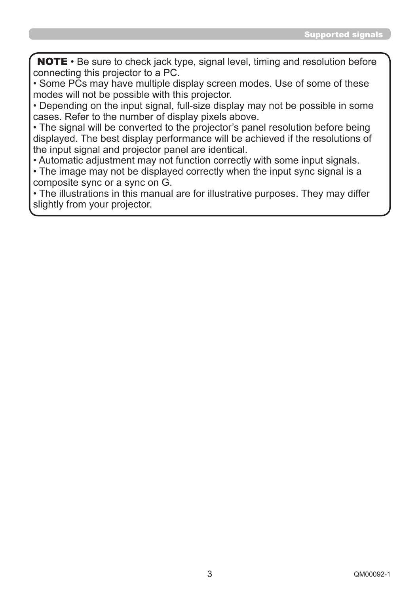NOTE • Be sure to check jack type, signal level, timing and resolution before connecting this projector to a PC.

• Some PCs may have multiple display screen modes. Use of some of these modes will not be possible with this projector.

• Depending on the input signal, full-size display may not be possible in some cases. Refer to the number of display pixels above.

• The signal will be converted to the projector's panel resolution before being displayed. The best display performance will be achieved if the resolutions of the input signal and projector panel are identical.

• Automatic adjustment may not function correctly with some input signals.

• The image may not be displayed correctly when the input sync signal is a composite sync or a sync on G.

• The illustrations in this manual are for illustrative purposes. They may differ slightly from your projector.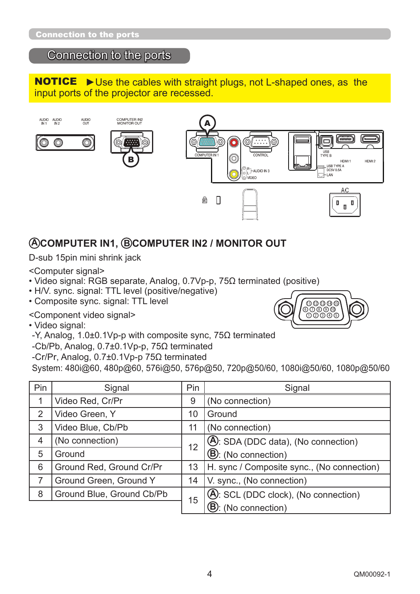# Connection to the ports

**NOTICE**  $\triangleright$  Use the cables with straight plugs, not L-shaped ones, as the input ports of the projector are recessed.



# **A COMPUTER IN1, B COMPUTER IN2 / MONITOR OUT**

D-sub 15pin mini shrink jack

<Computer signal>

- Video signal: RGB separate, Analog, 0.7Vp-p,  $75\Omega$  terminated (positive)
- H/V. sync. signal: TTL level (positive/negative)
- Composite sync. signal: TTL level

<Component video signal>

• Video signal:

- $-Y$ , Analog, 1.0±0.1Vp-p with composite sync, 75 $\Omega$  terminated
- -Cb/Pb, Analog,  $0.7\pm0.1$ Vp-p,  $75\Omega$  terminated
- -Cr/Pr, Analog,  $0.7\pm0.1$ Vp-p  $75\Omega$  terminated

System: 480i@60, 480p@60, 576i@50, 576p@50, 720p@50/60, 1080i@50/60, 1080p@50/60

| Pin                            | Signal                   | Pin | Signal                                     |
|--------------------------------|--------------------------|-----|--------------------------------------------|
| $\mathbf{1}$                   | Video Red, Cr/Pr         | 9   | (No connection)                            |
| 2                              | Video Green, Y           | 10  | Ground                                     |
| 3                              | Video Blue, Cb/Pb        | 11  | (No connection)                            |
| 4                              | (No connection)          | 12  | (A): SDA (DDC data), (No connection)       |
| 5                              | Ground                   |     | <b>B</b> : (No connection)                 |
| 6                              | Ground Red, Ground Cr/Pr | 13  | H. sync / Composite sync., (No connection) |
|                                | Ground Green, Ground Y   | 14  | V. sync., (No connection)                  |
| Ground Blue, Ground Cb/Pb<br>8 |                          | 15  | (A): SCL (DDC clock), (No connection)      |
|                                |                          |     | <b>(B):</b> (No connection)                |

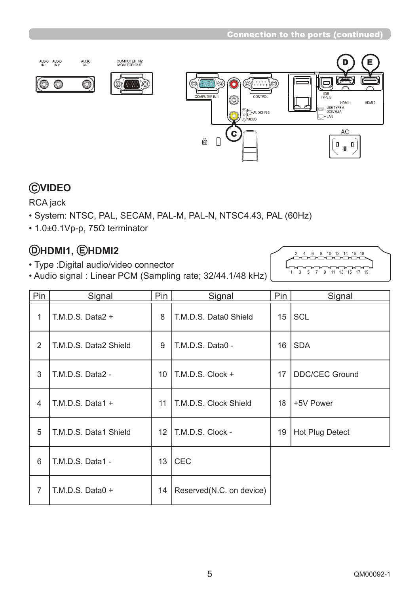

# **C VIDEO**

RCA jack

- System: NTSC, PAL, SECAM, PAL-M, PAL-N, NTSC4.43, PAL (60Hz)
- $\cdot$  1.0±0.1Vp-p, 75 $\Omega$  terminator

# **D HDMI1, E HDMI2**

- Type :Digital audio/video connector
- Audio signal : Linear PCM (Sampling rate; 32/44.1/48 kHz)



| Pin            | Signal                | Pin             | Pin<br>Signal            |                  | Signal                |
|----------------|-----------------------|-----------------|--------------------------|------------------|-----------------------|
| 1              | T.M.D.S. Data $2 +$   | 8               | T.M.D.S. Data0 Shield    | 15 <sup>15</sup> | <b>SCL</b>            |
| 2              | T.M.D.S. Data2 Shield | 9               | T.M.D.S. Data0 -         |                  | <b>SDA</b>            |
| 3              | T.M.D.S. Data2 -      | 10 <sup>°</sup> | $\vert$ T.M.D.S. Clock + | 17               | <b>DDC/CEC Ground</b> |
| $\overline{4}$ | T.M.D.S. Data1 $+$    | 11              | T.M.D.S. Clock Shield    | 18               | +5V Power             |
| 5              | T.M.D.S. Data1 Shield | 12 <sup>°</sup> | T.M.D.S. Clock -         | 19               | Hot Plug Detect       |
| 6              | T.M.D.S. Data1 -      | 13              | <b>CEC</b>               |                  |                       |
| $\overline{7}$ | T.M.D.S. Data0 +      | 14              | Reserved(N.C. on device) |                  |                       |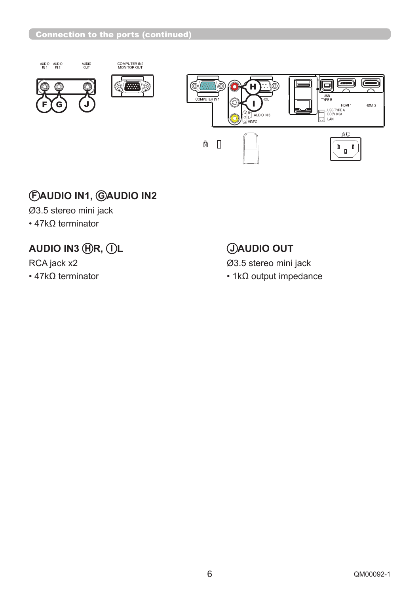

# **F AUDIO IN1, G AUDIO IN2**

Ø3.5 stereo mini jack

 $\cdot$  47k $\Omega$  terminator

# **AUDIO IN3 HR, IL CONSUMING OUT**

RCA jack x2 Ø3.5 stereo mini jack

 $\cdot$  47k $\Omega$  terminator  $\cdot$  1k $\Omega$  output impedance

HDMI2

AC

 $\begin{smallmatrix} & & & 0 \\ & & & \end{smallmatrix}$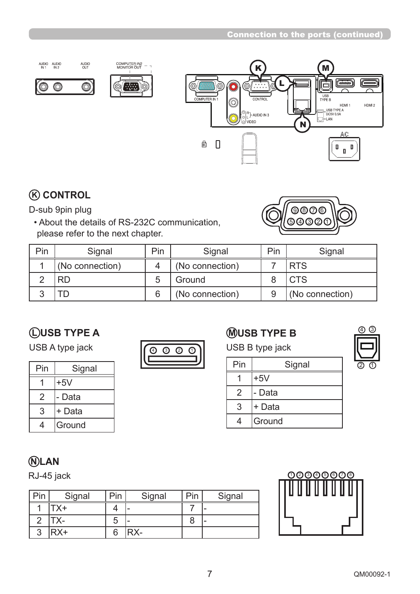

# **K CONTROL**

D-sub 9pin plug

 • About the details of RS-232C communication, please refer to the next chapter.



| Pin | Signal          | Pin | Signal          | Pin | Signal          |
|-----|-----------------|-----|-----------------|-----|-----------------|
|     | (No connection) |     | (No connection) |     | <b>RTS</b>      |
|     |                 | 5   | Ground          |     | <b>CTS</b>      |
|     |                 |     | (No connection) |     | (No connection) |

# **L USB TYPE A**

USB A type jack  $\sqrt{\odot \odot \odot \odot}$ 

| Pin            | Signal |  |  |  |
|----------------|--------|--|--|--|
|                | $+5V$  |  |  |  |
| $\overline{2}$ | - Data |  |  |  |
| 3              | + Data |  |  |  |
| Δ.             | Ground |  |  |  |
|                |        |  |  |  |



# **M USB TYPE B**

USB B type jack

| Pin | Signal |
|-----|--------|
|     | $+5V$  |
| 2   | - Data |
| 3   | + Data |
|     | Ground |



# **N LAN**

| Pin | Signal                      | Pin | Signal | Pin | Signal |
|-----|-----------------------------|-----|--------|-----|--------|
|     | $\mathsf{r}_{\mathsf{X}^+}$ |     |        |     | -      |
|     | X-                          | G   |        |     | -      |
| ົ   | PX+                         | 6   | RX-    |     |        |

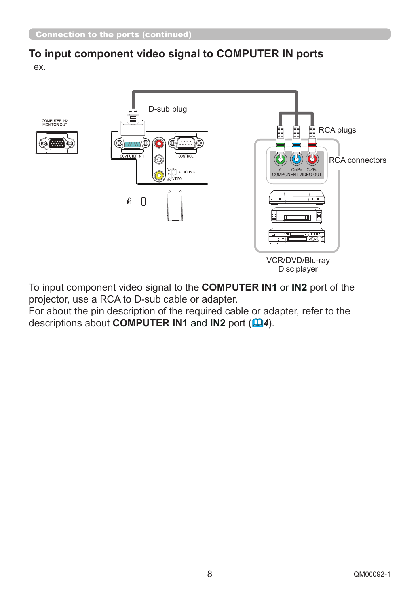### **To input component video signal to COMPUTER IN ports** ex.



To input component video signal to the **COMPUTER IN1** or **IN2** port of the projector, use a RCA to D-sub cable or adapter.

For about the pin description of the required cable or adapter, refer to the descriptions about **COMPUTER IN1** and **IN2** port ( *4*).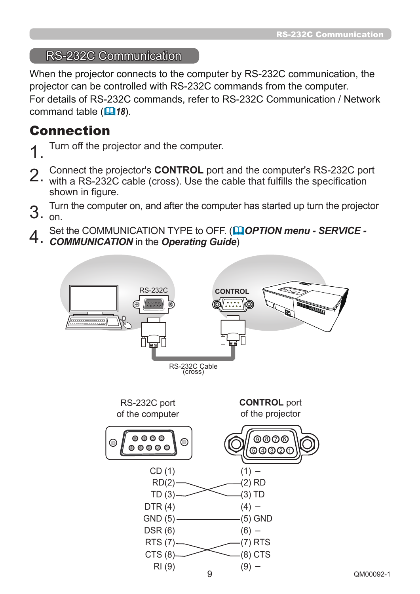### RS-232C Communication

When the projector connects to the computer by RS-232C communication, the projector can be controlled with RS-232C commands from the computer. For details of RS-232C commands, refer to RS-232C Communication / Network command table (**446**).

# Connection

- Turn off the projector and the computer.
- 
- 2. Connect the projector's **CONTROL** port and the computer's RS-232C port **2.** with a RS-232C cable (cross). Use the cable that fulfills the specification
- shown in figure.
- 3. Turn the computer on, and after the computer has started up turn the projector
- $3.$  on.
- 4. Set the COMMUNICATION TYPE to OFF. (**QQUATION menu SERVICE - COMMUNICATION** in the **Operating Guide**)
- 

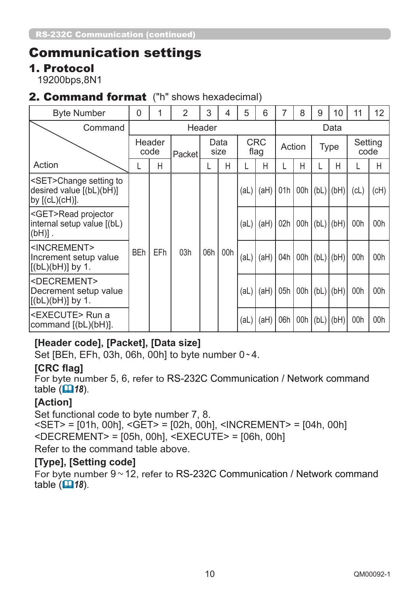# Communication settings

### 1. Protocol

19200bps,8N1

### 2. Command format ("h" shows hexadecimal)

| <b>Byte Number</b>                                                                  | 0          |                | $\overline{2}$ | 3      | 4            | 5    | 6                  |      | 8      | 9   | 10                   | 11              | 12                 |               |     |     |  |     |     |      |      |     |     |  |               |     |     |
|-------------------------------------------------------------------------------------|------------|----------------|----------------|--------|--------------|------|--------------------|------|--------|-----|----------------------|-----------------|--------------------|---------------|-----|-----|--|-----|-----|------|------|-----|-----|--|---------------|-----|-----|
| Command                                                                             |            |                |                | Header |              |      |                    | Data |        |     |                      |                 |                    |               |     |     |  |     |     |      |      |     |     |  |               |     |     |
|                                                                                     |            | Header<br>code | Packet         |        | Data<br>size |      | <b>CRC</b><br>flag |      | Action |     | <b>Type</b>          | Setting<br>code |                    |               |     |     |  |     |     |      |      |     |     |  |               |     |     |
| Action                                                                              |            | Η              |                |        | Η            |      | Н                  |      | Н      |     | Н                    |                 | Н                  |               |     |     |  |     |     |      |      |     |     |  |               |     |     |
| SET>Change setting to<br>desired value [(bL)(bH)]<br> by [(cL)(cH)].                |            |                |                |        |              | (al) | (aH)               | 01h  |        |     | 00h $ (bL)   (bH)  $ | CL)             | $\left( cH\right)$ |               |     |     |  |     |     |      |      |     |     |  |               |     |     |
| <get>Read projector<br/>internal setup value [(bL)<br/> (bH)] .</get>               |            |                |                |        |              | (al) | (H)                | 02h  |        |     | 00h $ (bL)  (bH)$    | 00h             | 00h                |               |     |     |  |     |     |      |      |     |     |  |               |     |     |
| <increment><br/>Increment setup value<br/><math>[(bL)(bH)]</math> by 1.</increment> | <b>BEh</b> | EFh            | 03h            |        |              |      |                    |      |        |     |                      |                 |                    |               |     |     |  | 06h | 00h | (aL) | (aH) | 04h | 00h |  | $(bL)$ $(bH)$ | 00h | 00h |
| <decrement><br/>Decrement setup value<br/><math>[(bL)(bH)]</math> by 1.</decrement> |            |                |                |        |              |      |                    |      | (al)   | (H) | 05h                  | 00h             |                    | $(bL)$ $(bH)$ | 00h | 00h |  |     |     |      |      |     |     |  |               |     |     |
| l <execute> Run a<br/> command [(bL)(bH)].</execute>                                |            |                |                |        |              | (al) | (H)                | 06h  | 00h    |     | $(bL)$ $(bH)$        | 00h             | 00h                |               |     |     |  |     |     |      |      |     |     |  |               |     |     |

# **[Header code], [Packet], [Data size]**

Set [BEh, EFh, 03h, 06h, 00h] to byte number 0 ~ 4.

### **[CRC flag]**

For byte number 5, 6, refer to RS-232C Communication / Network command table  $(\Box 18)$ .

### **[Action]**

Set functional code to byte number 7, 8. <SET> = [01h, 00h], <GET> = [02h, 00h], <INCREMENT> = [04h, 00h] <DECREMENT> = [05h, 00h], <EXECUTE> = [06h, 00h] Refer to the command table above.

### **[Type], [Setting code]**

For byte number  $9 \sim 12$ , refer to RS-232C Communication / Network command table  $(\Box 18)$ .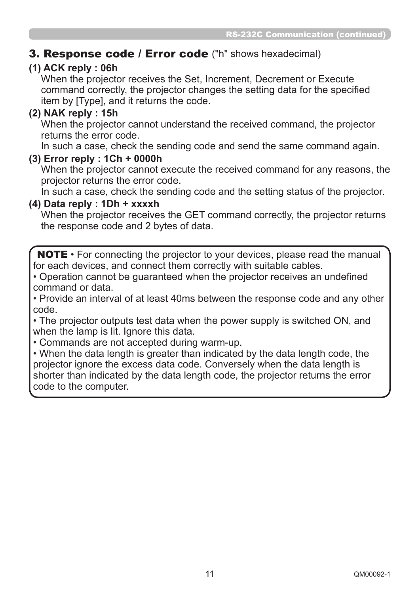# 3. Response code / Error code ("h" shows hexadecimal)

### **(1) ACK reply : 06h**

When the projector receives the Set, Increment, Decrement or Execute command correctly, the projector changes the setting data for the specified item by [Type], and it returns the code.

### **(2) NAK reply : 15h**

When the projector cannot understand the received command, the projector returns the error code.

In such a case, check the sending code and send the same command again.

### **(3) Error reply : 1Ch + 0000h**

When the projector cannot execute the received command for any reasons, the projector returns the error code.

In such a case, check the sending code and the setting status of the projector.

### **(4) Data reply : 1Dh + xxxxh**

When the projector receives the GET command correctly, the projector returns the response code and 2 bytes of data.

NOTE • For connecting the projector to your devices, please read the manual for each devices, and connect them correctly with suitable cables.

• Operation cannot be quaranteed when the projector receives an undefined command or data.

• Provide an interval of at least 40ms between the response code and any other code.

• The projector outputs test data when the power supply is switched ON, and when the lamp is lit. Ignore this data.

• Commands are not accepted during warm-up.

• When the data length is greater than indicated by the data length code, the projector ignore the excess data code. Conversely when the data length is shorter than indicated by the data length code, the projector returns the error code to the computer.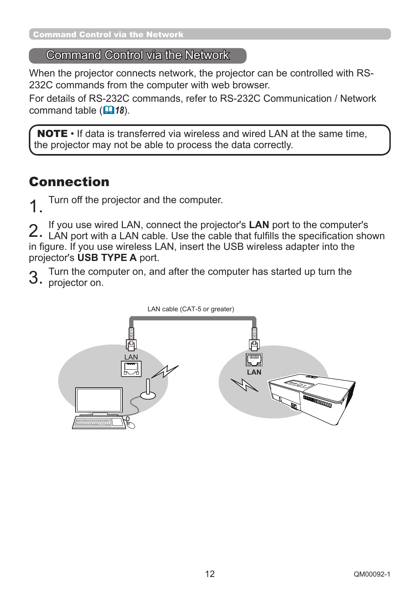# Command Control via the Network

When the projector connects network, the projector can be controlled with RS-232C commands from the computer with web browser.

For details of RS-232C commands, refer to RS-232C Communication / Network command table (**18**).

NOTE • If data is transferred via wireless and wired LAN at the same time, the projector may not be able to process the data correctly.

# Connection

Turn off the projector and the computer.

2. If you use wired LAN, connect the projector's LAN port to the computer's <br>2. LAN port with a LAN cable. Use the cable that fulfills the specification shown If you use wired LAN, connect the projector's **LAN** port to the computer's in figure. If you use wireless LAN, insert the USB wireless adapter into the projector's **USB TYPE A** port.

Turn the computer on, and after the computer has started up turn the 3. projector on.

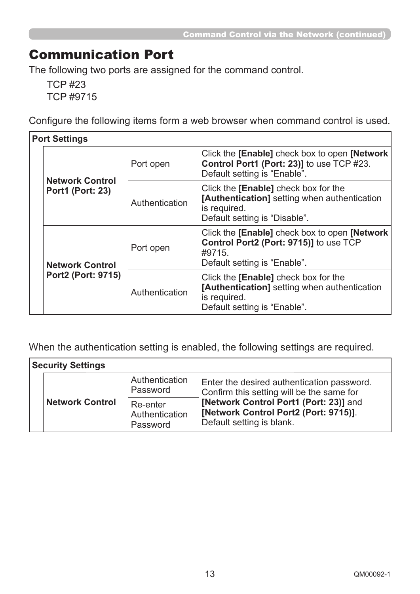# Communication Port

The following two ports are assigned for the command control.

TCP #23 TCP #9715

Configure the following items form a web browser when command control is used.

|  | <b>Port Settings</b>                                |                |                                                                                                                                       |  |  |  |
|--|-----------------------------------------------------|----------------|---------------------------------------------------------------------------------------------------------------------------------------|--|--|--|
|  | <b>Network Control</b>                              | Port open      | Click the [Enable] check box to open [Network]<br>Control Port1 (Port: 23)] to use TCP #23.<br>Default setting is "Enable".           |  |  |  |
|  | <b>Port1 (Port: 23)</b>                             | Authentication | Click the [Enable] check box for the<br>[Authentication] setting when authentication<br>is required.<br>Default setting is "Disable". |  |  |  |
|  | <b>Network Control</b><br><b>Port2 (Port: 9715)</b> | Port open      | Click the [Enable] check box to open [Network]<br>Control Port2 (Port: 9715)] to use TCP<br>#9715.<br>Default setting is "Enable".    |  |  |  |
|  |                                                     | Authentication | Click the [Enable] check box for the<br>[Authentication] setting when authentication<br>is required.<br>Default setting is "Enable".  |  |  |  |

When the authentication setting is enabled, the following settings are required.

| <b>Security Settings</b> |                                        |                                                                                                              |  |  |  |  |  |  |  |
|--------------------------|----------------------------------------|--------------------------------------------------------------------------------------------------------------|--|--|--|--|--|--|--|
|                          | Authentication<br>Password             | Enter the desired authentication password.<br>Confirm this setting will be the same for                      |  |  |  |  |  |  |  |
| <b>Network Control</b>   | Re-enter<br>Authentication<br>Password | [Network Control Port1 (Port: 23)] and<br>[Network Control Port2 (Port: 9715)].<br>Default setting is blank. |  |  |  |  |  |  |  |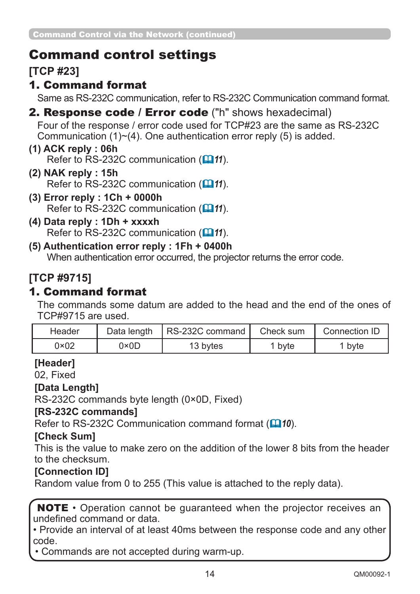# Command control settings

**[TCP #23]**

# 1. Command format

Same as RS-232C communication, refer to RS-232C Communication command format.

# 2. Response code / Error code ("h" shows hexadecimal)

Four of the response / error code used for TCP#23 are the same as RS-232C Communication  $(1)$   $\sim$  (4). One authentication error reply (5) is added.

#### **(1) ACK reply : 06h**  Refer to RS-232C communication (**Q11**).

- **(2) NAK reply : 15h**  Refer to RS-232C communication (**Q11**).
- **(3) Error reply : 1Ch + 0000h** Refer to RS-232C communication (**Q11**).
- **(4) Data reply : 1Dh + xxxxh**  Refer to RS-232C communication (**Q11**).
- **(5) Authentication error reply : 1Fh + 0400h**  When authentication error occurred, the projector returns the error code.

# **[TCP #9715]**

# 1. Command format

The commands some datum are added to the head and the end of the ones of TCP#9715 are used.

| Header        | Data length | RS-232C command | Check sum | Connection ID     |  |
|---------------|-------------|-----------------|-----------|-------------------|--|
| $0 \times 02$ | 0×0D        | 13 bytes        | byte      | <sup>1</sup> byte |  |

# **[Header]**

02, Fixed

### **[Data Length]**

RS-232C commands byte length (0×0D, Fixed)

### **[RS-232C commands]**

Refer to RS-232C Communication command format ( $\Box$ 10).

### **[Check Sum]**

This is the value to make zero on the addition of the lower 8 bits from the header to the checksum.

# **[Connection ID]**

Random value from 0 to 255 (This value is attached to the reply data).

NOTE • Operation cannot be guaranteed when the projector receives an undefined command or data

• Provide an interval of at least 40ms between the response code and any other code.

• Commands are not accepted during warm-up.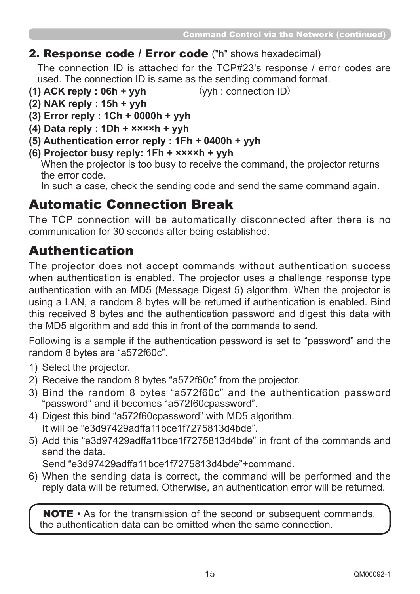### 2. Response code / Error code ("h" shows hexadecimal)

The connection ID is attached for the TCP#23's response / error codes are used. The connection ID is same as the sending command format.

- **(1) ACK reply : 06h + yyh** (yyh : connection ID)
- **(2) NAK reply : 15h + yyh**
- **(3) Error reply : 1Ch + 0000h + yyh**
- **(4) Data reply : 1Dh + ××××h + yyh**
- **(5) Authentication error reply : 1Fh + 0400h + yyh**
- **(6) Projector busy reply: 1Fh + ××××h + yyh**

When the projector is too busy to receive the command, the projector returns the error code.

In such a case, check the sending code and send the same command again.

# Automatic Connection Break

The TCP connection will be automatically disconnected after there is no communication for 30 seconds after being established.

# Authentication

The projector does not accept commands without authentication success when authentication is enabled. The projector uses a challenge response type authentication with an MD5 (Message Digest 5) algorithm. When the projector is using a LAN, a random 8 bytes will be returned if authentication is enabled. Bind this received 8 bytes and the authentication password and digest this data with the MD5 algorithm and add this in front of the commands to send.

Following is a sample if the authentication password is set to "password" and the random 8 bytes are "a572f60c".

- 1) Select the projector.
- 2) Receive the random 8 bytes "a572f60c" from the projector.
- 3) Bind the random 8 bytes "a572f60c" and the authentication password "password" and it becomes "a572f60cpassword".
- 4) Digest this bind "a572f60cpassword" with MD5 algorithm. It will be "e3d97429adffa11bce1f7275813d4bde".
- 5) Add this "e3d97429adffa11bce1f7275813d4bde" in front of the commands and send the data.

Send "e3d97429adffa11bce1f7275813d4bde"+command.

6) When the sending data is correct, the command will be performed and the reply data will be returned. Otherwise, an authentication error will be returned.

NOTE • As for the transmission of the second or subsequent commands, the authentication data can be omitted when the same connection.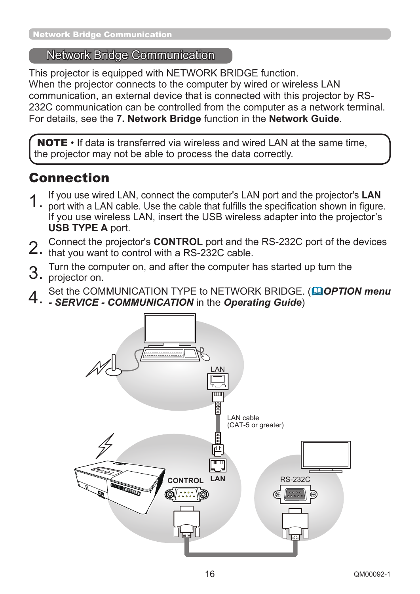# Network Bridge Communication

This projector is equipped with NETWORK BRIDGE function. When the projector connects to the computer by wired or wireless LAN communication, an external device that is connected with this projector by RS-232C communication can be controlled from the computer as a network terminal. For details, see the **7. Network Bridge** function in the **Network Guide**.

**NOTE**  $\cdot$  If data is transferred via wireless and wired LAN at the same time. the projector may not be able to process the data correctly.

# Connection

- 1. If you use wired LAN, connect the computer's LAN port and the projector's LAN<br>1. port with a LAN cable. Use the cable that fulfills the specification shown in figure. s LAN port and the projector's LAN
- If you use wireless LAN, insert the USB wireless adapter into the projector's **USB TYPE A** port.
- 2. Connect the projector's **CONTROL** port and the RS-232C port of the devices that you want to control with a RS-232C cable.
- 
- 3. Turn the computer on, and after the computer has started up turn the
- 3. projector on.
- 4. Set the COMMUNICATION TYPE to NETWORK BRIDGE. (**Q OPTION menu**<br>4. SERVICE COMMUNICATION in the Operating Guide)
- 

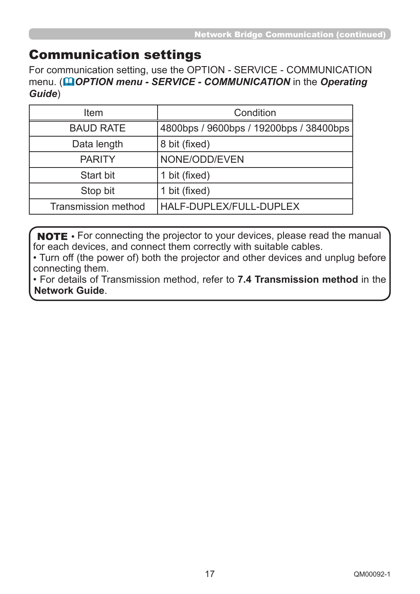# Communication settings

For communication setting, use the OPTION - SERVICE - COMMUNICATION menu. (**QOPTION menu - SERVICE - COMMUNICATION** in the *Operating Guide*)

| Item                       | Condition                               |
|----------------------------|-----------------------------------------|
| <b>BAUD RATE</b>           | 4800bps / 9600bps / 19200bps / 38400bps |
| Data length                | 8 bit (fixed)                           |
| <b>PARITY</b>              | NONE/ODD/EVEN                           |
| <b>Start bit</b>           | 1 bit (fixed)                           |
| Stop bit                   | 1 bit (fixed)                           |
| <b>Transmission method</b> | HALF-DUPLEX/FULL-DUPLEX                 |

NOTE • For connecting the projector to your devices, please read the manual for each devices, and connect them correctly with suitable cables.

• Turn off (the power of) both the projector and other devices and unplug before connecting them.

• For details of Transmission method, refer to **7.4 Transmission method** in the **Network Guide**.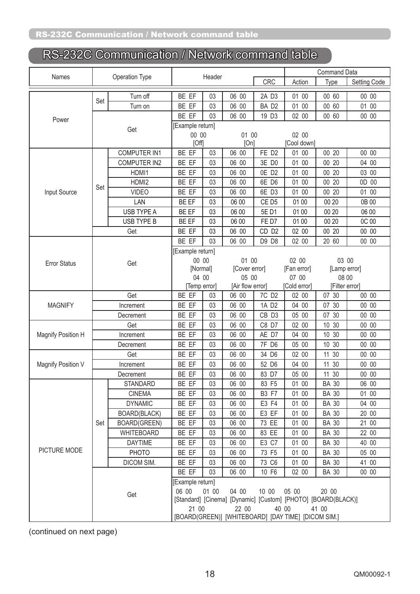# RS-232C Communication / Network command table

| Names<br>Operation Type |                                                     |                     |                                                               | Header |                  |                   | <b>Command Data</b> |                |              |  |
|-------------------------|-----------------------------------------------------|---------------------|---------------------------------------------------------------|--------|------------------|-------------------|---------------------|----------------|--------------|--|
|                         |                                                     |                     |                                                               |        |                  | CRC               | Action              | Type           | Setting Code |  |
|                         |                                                     | Turn off            | BE EF                                                         | 03     | 06 00            | 2A D3             | 01 00               | 00 60          | 00 00        |  |
|                         | Set                                                 | Turn on             | BE EF                                                         | 03     | 06 00            | BA D <sub>2</sub> | 01 00               | 00 60          | 01 00        |  |
|                         |                                                     |                     | BE EF                                                         | 03     | 06 00            | 19 D3             | 02 00               | 00 60          | 00 00        |  |
| Power                   |                                                     |                     | [Example return]                                              |        |                  |                   |                     |                |              |  |
|                         |                                                     | Get                 | 00 00                                                         |        | 01 00            |                   | 02 00               |                |              |  |
|                         |                                                     |                     | [Off]                                                         |        | [On]             |                   | [Cool down]         |                |              |  |
|                         |                                                     | <b>COMPUTER IN1</b> | BE EF                                                         | 03     | 06 00            | FE D <sub>2</sub> | 01 00               | 00 20          | 00 00        |  |
|                         |                                                     | <b>COMPUTER IN2</b> | BE EF                                                         | 03     | 06 00            | 3E D0             | 01 00               | 00 20          | 04 00        |  |
|                         |                                                     | HDMI1               | BE EF                                                         | 03     | 06 00            | OE D <sub>2</sub> | 01 00               | 00 20          | 03 00        |  |
|                         |                                                     | HDMI2               | BE EF                                                         | 03     | 06 00            | 6E D6             | 01 00               | 00 20          | 0D 00        |  |
| Input Source            | Set                                                 | <b>VIDEO</b>        | BE EF                                                         | 03     | 06 00            | 6E D3             | 01 00               | 00 20          | 01 00        |  |
|                         |                                                     | LAN                 | BE EF                                                         | 03     | 06 00            | CE D <sub>5</sub> | 01 00               | 00 20          | 0B 00        |  |
|                         |                                                     | USB TYPE A          | BE EF                                                         | 03     | 06 00            | 5E D1             | 01 00               | 00 20          | 06 00        |  |
|                         |                                                     | USB TYPE B          | BE EF                                                         | 03     | 06 00            | FE D7             | 01 00               | 00 20          | 0C 00        |  |
|                         |                                                     | Get                 | BE EF                                                         | 03     | 06 00            | CD <sub>D2</sub>  | 02 00               | 00 20          | 00 00        |  |
|                         |                                                     |                     | BE EF                                                         | 03     | 06 00            | D9 D8             | 02 00               | 20 60          | 00 00        |  |
|                         |                                                     |                     | [Example return]                                              |        |                  |                   |                     |                |              |  |
| <b>Error Status</b>     |                                                     | Get                 | 00 00                                                         |        | 01 00            |                   | 02 00               | 03 00          |              |  |
|                         |                                                     |                     | [Normal]                                                      |        | [Cover error]    |                   | [Fan error]         | [Lamp error]   |              |  |
|                         |                                                     |                     | 04 00                                                         |        | 05 00            |                   | 07 00               | 08 00          |              |  |
|                         |                                                     |                     | [Temp error]                                                  |        | [Air flow error] |                   | [Cold error]        | [Filter error] |              |  |
|                         |                                                     | Get                 | BE EF                                                         | 03     | 06 00            | 7C D <sub>2</sub> | 02 00               | 07 30          | 00 00        |  |
| <b>MAGNIFY</b>          |                                                     | Increment           | BE EF                                                         | 03     | 06 00            | 1A D <sub>2</sub> | 04 00               | 07 30          | 00 00        |  |
|                         |                                                     | Decrement           | BE EF                                                         | 03     | 06 00            | CB D3             | 05 00               | 07 30          | 00 00        |  |
|                         | Get                                                 |                     | BE EF                                                         | 03     | 06 00            | C8 D7             | 02 00               | 10 30          | 00 00        |  |
| Magnify Position H      | Increment                                           |                     | BE EF                                                         | 03     | 06 00            | AE D7             | 04 00               | 10 30          | 00 00        |  |
|                         |                                                     | Decrement           | BE EF                                                         | 03     | 06 00            | 7F D6             | 05 00               | 10 30          | 00 00        |  |
|                         |                                                     | Get                 | BE EF                                                         | 03     | 06 00            | 34 D6             | 02 00               | 11 30          | 00 00        |  |
| Magnify Position V      |                                                     | Increment           | BE EF                                                         | 03     | 06 00            | 52 D6             | 04 00               | 11 30          | 00 00        |  |
|                         |                                                     | Decrement           | BE EF                                                         | 03     | 06 00            | 83 D7             | 05 00               | 11 30          | 00 00        |  |
|                         |                                                     | <b>STANDARD</b>     | BE EF                                                         | 03     | 06 00            | 83 F5             | 01 00               | <b>BA 30</b>   | 06 00        |  |
|                         |                                                     | <b>CINEMA</b>       | BE EF                                                         | 03     | 06 00            | <b>B3 F7</b>      | 01 00               | <b>BA 30</b>   | 01 00        |  |
|                         |                                                     | <b>DYNAMIC</b>      | BE EF                                                         | 03     | 06 00            | E3 F4             | 01 00               | <b>BA 30</b>   | 04 00        |  |
|                         |                                                     | BOARD(BLACK)        | BE EF                                                         | 03     | 06 00            | E3 EF             | 01 00               | <b>BA 30</b>   | 20 00        |  |
|                         | Set                                                 | <b>BOARD(GREEN)</b> | BE EF                                                         | 03     | 06 00            | 73 EE             | 01 00               | <b>BA 30</b>   | 21 00        |  |
|                         |                                                     | WHITEBOARD          | BE EF                                                         | 03     | 06 00            | 83 EE             | 01 00               | <b>BA 30</b>   | 22 00        |  |
|                         |                                                     | <b>DAYTIME</b>      | BE EF                                                         | 03     | 06 00            | E3 C7             | 01 00               | <b>BA 30</b>   | 40 00        |  |
| PICTURE MODE            |                                                     | PHOTO               | BE EF                                                         | 03     | 06 00            | 73 F5             | 01 00               | <b>BA 30</b>   | 05 00        |  |
|                         |                                                     | DICOM SIM.          | BE EF                                                         | 03     | 06 00            | 73 C6             | 01 00               | <b>BA 30</b>   | 41 00        |  |
|                         |                                                     |                     | BE EF                                                         | 03     | 06 00            | 10 F6             | 02 00               | <b>BA 30</b>   | 00 00        |  |
|                         |                                                     |                     | [Example return]                                              |        |                  |                   |                     |                |              |  |
|                         |                                                     | Get                 | 06 00                                                         | 01 00  | 04 00            | 10 00             | 05 00               | 20 00          |              |  |
|                         |                                                     |                     | [Standard] [Cinema] [Dynamic] [Custom] [PHOTO] [BOARD(BLACK)] |        |                  |                   |                     |                |              |  |
|                         |                                                     |                     | 21 00<br>22 00<br>40 00<br>41 00                              |        |                  |                   |                     |                |              |  |
|                         | [BOARD(GREEN)] [WHITEBOARD] [DAY TIME] [DICOM SIM.] |                     |                                                               |        |                  |                   |                     |                |              |  |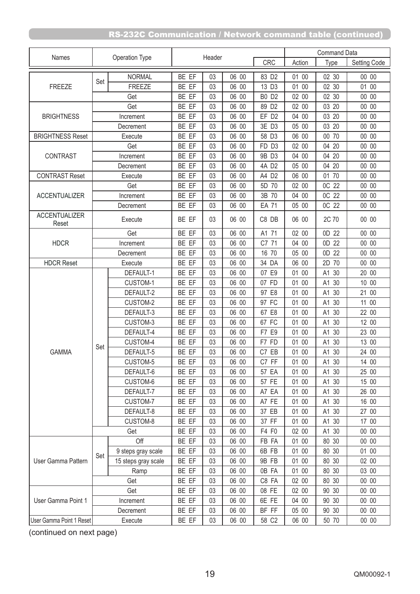|                               |           |                     |       |        |       |                   |        | <b>Command Data</b>  |              |
|-------------------------------|-----------|---------------------|-------|--------|-------|-------------------|--------|----------------------|--------------|
| Names                         |           | Operation Type      |       | Header |       | CRC               | Action | Type                 | Setting Code |
|                               |           | <b>NORMAL</b>       | BE EF | 03     | 06 00 | 83 D2             | 01 00  | 02 30                | 00 00        |
| <b>FREEZE</b>                 | Set       | <b>FREEZE</b>       | BE EF | 03     | 06 00 | 13 D3             | 01 00  | 02 30                | 01 00        |
|                               |           | Get                 | BE EF | 03     | 06 00 | <b>B0 D2</b>      | 02 00  | 02 30                | 00 00        |
|                               |           | Get                 | BE EF | 03     | 06 00 | 89 D <sub>2</sub> | 02 00  | 03 20                | 00 00        |
| <b>BRIGHTNESS</b>             |           | Increment           | BE EF | 03     | 06 00 | EF D <sub>2</sub> | 04 00  | 03 20                | 00 00        |
|                               |           | Decrement           | BE EF | 03     | 06 00 | 3E D3             | 05 00  | 03 20                | 00 00        |
| <b>BRIGHTNESS Reset</b>       |           | Execute             | BE EF | 03     | 06 00 | 58 D3             | 06 00  | 00 70                | 00 00        |
|                               |           | Get                 | BE EF | 03     | 06 00 | FD D3             | 02 00  | 04 20                | 00 00        |
| <b>CONTRAST</b>               |           | Increment           | BE EF | 03     | 06 00 | 9B D3             | 04 00  | 04 20                | 00 00        |
|                               |           | Decrement           | BE EF | 03     | 06 00 | 4A D2             | 05 00  | 04 20                | 00 00        |
| <b>CONTRAST Reset</b>         |           | Execute             | BE EF | 03     | 06 00 | A4 D2             | 06 00  | 01 70                | 00 00        |
|                               |           | Get                 | BE EF | 03     | 06 00 | 5D 70             | 02 00  | OC 22                | 00 00        |
| <b>ACCENTUALIZER</b>          |           | Increment           | BE EF | 03     | 06 00 | 3B 70             | 04 00  | OC 22                | 00 00        |
|                               |           | Decrement           | BE EF | 03     | 06 00 | <b>EA 71</b>      | 05 00  | OC 22                | 00 00        |
| <b>ACCENTUALIZER</b><br>Reset |           | Execute             |       | 03     | 06 00 | C8 DB             | 06 00  | 2C 70                | 00 00        |
|                               |           | Get                 | BE EF | 03     | 06 00 | A1 71             | 02 00  | 0D 22                | 00 00        |
| <b>HDCR</b>                   |           | Increment           | BE EF | 03     | 06 00 | C7 71             | 04 00  | 0D 22                | 00 00        |
|                               |           | Decrement           | BE EF | 03     | 06 00 | 16 70             | 05 00  | 22<br>0 <sub>D</sub> | 00 00        |
| <b>HDCR Reset</b>             | Execute   |                     | BE EF | 03     | 06 00 | 34 DA             | 06 00  | 2D<br>70             | 00 00        |
|                               |           | DEFAULT-1           | BE EF | 03     | 06 00 | 07 E9             | 01 00  | A1<br>30             | 20 00        |
|                               |           | CUSTOM-1            | BE EF | 03     | 06 00 | 07 FD             | 01 00  | 30<br>A1             | 10 00        |
|                               |           | DEFAULT-2           | BE EF | 03     | 06 00 | 97 E8             | 01 00  | 30<br>A1             | 21 00        |
|                               |           | CUSTOM-2            | BE EF | 03     | 06 00 | 97 FC             | 01 00  | A1<br>30             | 11 00        |
|                               |           | DEFAULT-3           | BE EF | 03     | 06 00 | 67 E8             | 01 00  | A1<br>30             | 22 00        |
|                               |           | CUSTOM-3            | BE EF | 03     | 06 00 | 67 FC             | 01 00  | 30<br>A1             | 12 00        |
|                               |           | DEFAULT-4           | BE EF | 03     | 06 00 | F7 E9             | 01 00  | A1<br>30             | 23 00        |
|                               |           | CUSTOM-4            | BE EF | 03     | 06 00 | F7 FD             | 01 00  | A1<br>30             | 13 00        |
| <b>GAMMA</b>                  | Set       | DEFAULT-5           | BE EF | 03     | 06 00 | C7 EB             | 01 00  | 30<br>A1             | 24 00        |
|                               |           | CUSTOM-5            | BE EF | 03     | 06 00 | C7 FF             | 01 00  | A1 30                | 14 00        |
|                               |           | DEFAULT-6           | BE EF | 03     | 06 00 | 57 EA             | 01 00  | A1 30                | 25 00        |
|                               |           | CUSTOM-6            | BE EF | 03     | 06 00 | 57 FE             | 01 00  | A1 30                | 15 00        |
|                               |           | DEFAULT-7           | BE EF | 03     | 06 00 | A7 EA             | 01 00  | A1 30                | 26 00        |
|                               |           | CUSTOM-7            | BE EF | 03     | 06 00 | A7 FE             | 01 00  | A1 30                | 16 00        |
|                               |           | DEFAULT-8           | BE EF | 03     | 06 00 | 37 EB             | 01 00  | A1 30                | 27 00        |
|                               |           | CUSTOM-8            | BE EF | 03     | 06 00 | 37 FF             | 01 00  | A1 30                | 17 00        |
|                               |           | Get                 | BE EF | 03     | 06 00 | F4 F0             | 02 00  | A1 30                | 00 00        |
|                               |           | Off                 | BE EF | 03     | 06 00 | FB FA             | 01 00  | 80 30                | 00 00        |
|                               |           | 9 steps gray scale  | BE EF | 03     | 06 00 | 6B FB             | 01 00  | 80 30                | 01 00        |
| User Gamma Pattern            | Set       | 15 steps gray scale | BE EF | 03     | 06 00 | 9B FB             | 01 00  | 80 30                | 02 00        |
|                               |           | Ramp                | BE EF | 03     | 06 00 | 0B FA             | 01 00  | 80 30                | 03 00        |
|                               | Get       |                     | BE EF | 03     | 06 00 | C8 FA             | 02 00  | 80 30                | 00 00        |
|                               |           | Get                 | BE EF | 03     | 06 00 | 08 FE             | 02 00  | 90 30                | 00 00        |
| User Gamma Point 1            | Increment |                     | BE EF | 03     | 06 00 | 6E FE             | 04 00  | 90 30                | 00 00        |
|                               |           | Decrement           | BE EF | 03     | 06 00 | BF FF             | 05 00  | 90 30                | 00 00        |
| User Gamma Point 1 Reset      |           | Execute             | BE EF | 03     | 06 00 | 58 C2             | 06 00  | 50 70                | 00 00        |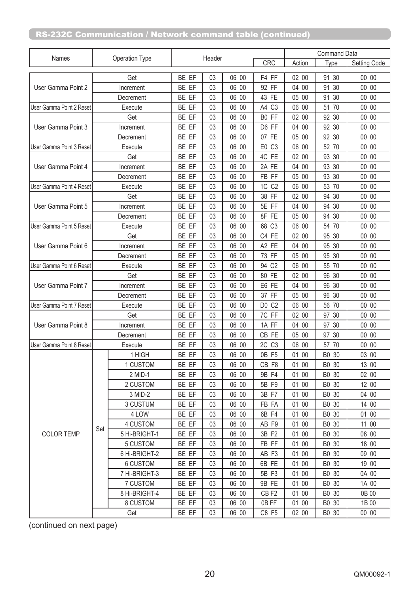|                          |         |                |       |        |       | <b>Command Data</b>  |        |          |              |
|--------------------------|---------|----------------|-------|--------|-------|----------------------|--------|----------|--------------|
| Names                    |         | Operation Type |       | Header |       | CRC                  | Action | Type     | Setting Code |
|                          |         | Get            | BE EF | 03     | 06 00 | F4 FF                | 02 00  | 91 30    | 00 00        |
| User Gamma Point 2       |         | Increment      | BE EF | 03     | 06 00 | 92 FF                | 04 00  | 30<br>91 | 00 00        |
|                          |         | Decrement      | BE EF | 03     | 06 00 | 43 FE                | 05 00  | 91 30    | 00 00        |
| User Gamma Point 2 Reset |         | Execute        | BE EF | 03     | 06 00 | A4 C3                | 06 00  | 51 70    | 00 00        |
|                          |         | Get            | BE EF | 03     | 06 00 | B0 FF                | 02 00  | 92 30    | 00 00        |
| User Gamma Point 3       |         | Increment      | BE EF | 03     | 06 00 | D6 FF                | 04 00  | 92 30    | 00 00        |
|                          |         | Decrement      | BE EF | 03     | 06 00 | 07 FE                | 05 00  | 92 30    | 00 00        |
| User Gamma Point 3 Reset |         | Execute        | BE EF | 03     | 06 00 | E0 C3                | 06 00  | 52 70    | 00 00        |
|                          |         | Get            | BE EF | 03     | 06 00 | 4C FE                | 02 00  | 93 30    | 00 00        |
| User Gamma Point 4       |         | Increment      | BE EF | 03     | 06 00 | 2A FE                | 04 00  | 93 30    | 00 00        |
|                          |         | Decrement      | BE EF | 03     | 06 00 | FB FF                | 05 00  | 93 30    | 00 00        |
| User Gamma Point 4 Reset |         | Execute        | BE EF | 03     | 06 00 | 1C C2                | 06 00  | 53 70    | 00 00        |
|                          |         | Get            | BE EF | 03     | 06 00 | 38 FF                | 02 00  | 30<br>94 | 00 00        |
| User Gamma Point 5       |         | Increment      | BE EF | 03     | 06 00 | 5E FF                | 04 00  | 94<br>30 | 00 00        |
|                          |         | Decrement      | BE EF | 03     | 06 00 | 8F FE                | 05 00  | 94 30    | 00 00        |
| User Gamma Point 5 Reset |         | Execute        | BE EF | 03     | 06 00 | 68 C3                | 06 00  | 54 70    | 00 00        |
|                          |         | Get            | BE EF | 03     | 06 00 | C4 FE                | 02 00  | 95 30    | 00 00        |
| User Gamma Point 6       |         | Increment      | BE EF | 03     | 06 00 | A2 FE                | 04 00  | 95 30    | 00 00        |
|                          |         | Decrement      | BE EF | 03     | 06 00 | 73 FF                | 05 00  | 95 30    | 00 00        |
| User Gamma Point 6 Reset | Execute |                | BE EF | 03     | 06 00 | C <sub>2</sub><br>94 | 06 00  | 55 70    | 00 00        |
|                          |         | Get            | BE EF | 03     | 06 00 | 80 FE                | 02 00  | 96 30    | 00 00        |
| User Gamma Point 7       |         | Increment      | BE EF | 03     | 06 00 | E6 FE                | 04 00  | 96 30    | 00 00        |
|                          |         | Decrement      | BE EF | 03     | 06 00 | 37 FF                | 05 00  | 96<br>30 | 00 00        |
| User Gamma Point 7 Reset |         | Execute        | BE EF | 03     | 06 00 | D0 C2                | 06 00  | 56 70    | 00 00        |
|                          |         | Get            | BE EF | 03     | 06 00 | 7C FF                | 02 00  | 97 30    | 00 00        |
| User Gamma Point 8       |         | Increment      | BE EF | 03     | 06 00 | 1A FF                | 04 00  | 30<br>97 | 00 00        |
|                          |         | Decrement      | BE EF | 03     | 06 00 | CB FE                | 05 00  | 97 30    | 00 00        |
| User Gamma Point 8 Reset |         | Execute        | BE EF | 03     | 06 00 | 2C<br>C <sub>3</sub> | 06 00  | 57 70    | 00 00        |
|                          |         | 1 HIGH         | BE EF | 03     | 06 00 | 0B F5                | 01 00  | B0 30    | 03 00        |
|                          |         | 1 CUSTOM       | BE EF | 03     | 06 00 | CB F8                | 01 00  | B0 30    | 13 00        |
|                          |         | 2 MID-1        | BE EF | 03     | 06 00 | 9B F4                | 01 00  | B0 30    | 02 00        |
|                          |         | 2 CUSTOM       | BE EF | 03     | 06 00 | 5B F9                | 01 00  | B0 30    | 12 00        |
|                          |         | 3 MID-2        | BE EF | 03     | 06 00 | 3B F7                | 01 00  | B0 30    | 04 00        |
|                          |         | 3 CUSTUM       | BE EF | 03     | 06 00 | FB FA                | 01 00  | B0 30    | 14 00        |
|                          |         | 4 LOW          | BE EF | 03     | 06 00 | 6B F4                | 01 00  | B0 30    | 01 00        |
|                          | Set     | 4 CUSTOM       | BE EF | 03     | 06 00 | AB F9                | 01 00  | B0 30    | 11 00        |
| <b>COLOR TEMP</b>        |         | 5 Hi-BRIGHT-1  | BE EF | 03     | 06 00 | 3B F2                | 01 00  | B0 30    | 08 00        |
|                          |         | 5 CUSTOM       | BE EF | 03     | 06 00 | FB FF                | 01 00  | B0 30    | 18 00        |
|                          |         | 6 Hi-BRIGHT-2  | BE EF | 03     | 06 00 | AB F3                | 01 00  | B0 30    | 09 00        |
|                          |         | 6 CUSTOM       | BE EF | 03     | 06 00 | 6B FE                | 01 00  | B0 30    | 19 00        |
|                          |         | 7 Hi-BRIGHT-3  | BE EF | 03     | 06 00 | 5B F3                | 01 00  | B0 30    | 0A 00        |
|                          |         | 7 CUSTOM       | BE EF | 03     | 06 00 | 9B FE                | 01 00  | B0 30    | 1A 00        |
|                          |         | 8 Hi-BRIGHT-4  | BE EF | 03     | 06 00 | CB <sub>F2</sub>     | 01 00  | B0 30    | 0B 00        |
|                          |         | 8 CUSTOM       | BE EF | 03     | 06 00 | 0B FF                | 01 00  | B0 30    | 1B 00        |
|                          |         | Get            | BE EF | 03     | 06 00 | C8 F5                | 02 00  | B0 30    | 00 00        |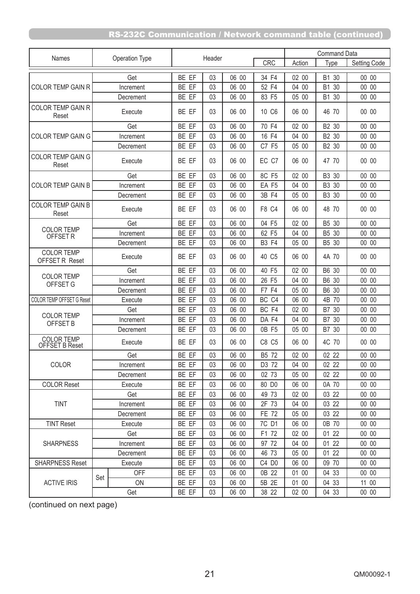|                                            |           |                       |       |        |       |                   | <b>Command Data</b> |                 |              |
|--------------------------------------------|-----------|-----------------------|-------|--------|-------|-------------------|---------------------|-----------------|--------------|
| Names                                      |           | <b>Operation Type</b> |       | Header |       | <b>CRC</b>        | Action              | <b>Type</b>     | Setting Code |
|                                            |           | Get                   | BE EF | 03     | 06 00 | 34 F4             | 02 00               | B1 30           | 00 00        |
| <b>COLOR TEMP GAIN R</b>                   |           | Increment             | BE EF | 03     | 06 00 | 52 F4             | 04 00               | 30<br><b>B1</b> | 00 00        |
|                                            |           | Decrement             | BE EF | 03     | 06 00 | 83 F5             | 05 00               | B1 30           | 00 00        |
| <b>COLOR TEMP GAIN R</b><br>Reset          |           | Execute               | BE EF | 03     | 06 00 | 10 C6             | 06 00               | 46 70           | 00 00        |
|                                            |           | Get                   | BE EF | 03     | 06 00 | 70 F4             | 02 00               | B2 30           | 00 00        |
| <b>COLOR TEMP GAIN G</b>                   |           | Increment             | BE EF | 03     | 06 00 | 16 F4             | 04 00               | B2 30           | 00 00        |
|                                            |           | Decrement             | BE EF | 03     | 06 00 | C7 F5             | 05 00               | B2 30           | 00 00        |
| <b>COLOR TEMP GAIN G</b><br>Reset          | Execute   |                       | BE EF | 03     | 06 00 | EC C7             | 06 00               | 47 70           | 00 00        |
|                                            |           | Get                   | BE EF | 03     | 06 00 | 8C F5             | 02 00               | B3 30           | 00 00        |
| <b>COLOR TEMP GAIN B</b>                   |           | Increment             | BE EF | 03     | 06 00 | EA F5             | 04 00               | B3 30           | 00 00        |
|                                            |           | Decrement             | BE EF | 03     | 06 00 | 3B F4             | 05 00               | B3 30           | 00 00        |
| <b>COLOR TEMP GAIN B</b><br>Reset          | Execute   |                       | BE EF | 03     | 06 00 | F8 C4             | 06 00               | 48 70           | 00 00        |
|                                            |           | Get                   | BE EF | 03     | 06 00 | 04 F5             | 02 00               | B5 30           | 00 00        |
| <b>COLOR TEMP</b><br>OFFSET R              |           | Increment             | BE EF | 03     | 06 00 | 62 F5             | 04 00               | B5 30           | 00 00        |
|                                            |           | Decrement             | BE EF | 03     | 06 00 | <b>B3 F4</b>      | 05 00               | B5 30           | 00 00        |
| <b>COLOR TEMP</b><br><b>OFFSET R Reset</b> | Execute   |                       | BE EF | 03     | 06 00 | 40 C <sub>5</sub> | 06 00               | 4A 70           | 00 00        |
| <b>COLOR TEMP</b><br>OFFSET G              |           | Get                   | BE EF | 03     | 06 00 | 40 F5             | 02 00               | B6 30           | 00 00        |
|                                            | Increment |                       | BE EF | 03     | 06 00 | 26 F5             | 04 00               | B6 30           | 00 00        |
|                                            |           | Decrement             | BE EF | 03     | 06 00 | F7 F4             | 05 00               | B6 30           | 00 00        |
| <b>COLOR TEMP OFFSET G Reset</b>           |           | Execute               | BE EF | 03     | 06 00 | BC <sub>C4</sub>  | 06 00               | 4B 70           | 00 00        |
|                                            |           | Get                   | BE EF | 03     | 06 00 | BC <sub>F4</sub>  | 02 00               | B7 30           | 00 00        |
| <b>COLOR TEMP</b><br>OFFSET B              |           | Increment             | BE EF | 03     | 06 00 | DA F4             | 04 00               | B7 30           | 00 00        |
|                                            |           | Decrement             | BE EF | 03     | 06 00 | 0B F5             | 05 00               | B7 30           | 00 00        |
| <b>COLOR TEMP</b><br>OFFSET B Reset        |           | Execute               | BE EF | 03     | 06 00 | C8 C5             | 06 00               | 4C 70           | 00 00        |
|                                            |           | Get                   | BE EF | 03     | 06 00 | B5 72             | 02 00               | 02 22           | 00 00        |
| COLOR                                      |           | Increment             | BE EF | 03     | 06 00 | D3 72             | 04 00               | 02 22           | 00 00        |
|                                            |           | Decrement             | BE EF | 03     | 06 00 | 02 73             | 05 00               | 02 22           | 00 00        |
| <b>COLOR Reset</b>                         |           | Execute               | BE EF | 03     | 06 00 | 80 D <sub>0</sub> | 06 00               | 0A 70           | 00 00        |
|                                            |           | Get                   | BE EF | 03     | 06 00 | 49 73             | 02 00               | 03 22           | 00 00        |
| <b>TINT</b>                                |           | Increment             | BE EF | 03     | 06 00 | 2F 73             | 04 00               | 03 22           | 00 00        |
|                                            |           | Decrement             | BE EF | 03     | 06 00 | <b>FE 72</b>      | 05 00               | 03 22           | 00 00        |
| <b>TINT Reset</b>                          |           | Execute               | BE EF | 03     | 06 00 | 7C D1             | 06 00               | 0B 70           | 00 00        |
|                                            |           | Get                   | BE EF | 03     | 06 00 | F1 72             | 02 00               | 01 22           | 00 00        |
| <b>SHARPNESS</b>                           |           | Increment             | BE EF | 03     | 06 00 | 97 72             | 04 00               | 01 22           | 00 00        |
|                                            | Decrement |                       | BE EF | 03     | 06 00 | 46 73             | 05 00               | 01 22           | 00 00        |
| <b>SHARPNESS Reset</b>                     |           | Execute               | BE EF | 03     | 06 00 | C4 D0             | 06 00               | 09 70           | 00 00        |
|                                            | Set       | <b>OFF</b>            | BE EF | 03     | 06 00 | 0B 22             | 01 00               | 04 33           | 00 00        |
| <b>ACTIVE IRIS</b>                         |           | <b>ON</b>             | BE EF | 03     | 06 00 | 5B 2E             | 01 00               | 04 33           | 11 00        |
|                                            |           | Get                   | BE EF | 03     | 06 00 | 38 22             | 02 00               | 04 33           | 00 00        |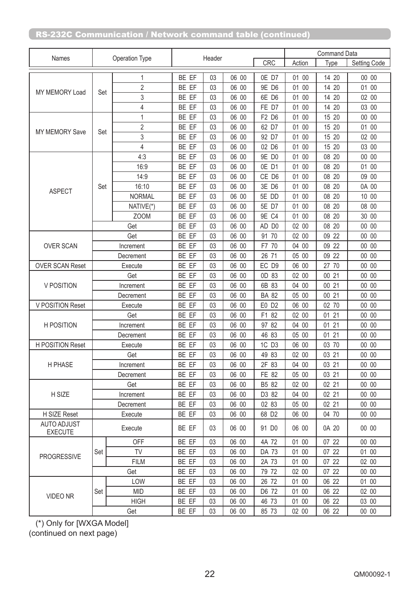|                               | Operation Type |                |                |        |       |                   |        | <b>Command Data</b> |              |  |  |
|-------------------------------|----------------|----------------|----------------|--------|-------|-------------------|--------|---------------------|--------------|--|--|
| Names                         |                |                |                | Header |       | <b>CRC</b>        | Action | Type                | Setting Code |  |  |
|                               |                | 1              | BE EF          | 03     | 06 00 | OE D7             | 01 00  | 14 20               | 00 00        |  |  |
|                               |                | $\overline{2}$ | BE EF          | 03     | 06 00 | 9E D6             | 01 00  | 14 20               | 01 00        |  |  |
| MY MEMORY Load                | Set            | 3              | BE EF          | 03     | 06 00 | 6E D6             | 01 00  | 14 20               | 02 00        |  |  |
|                               |                | 4              | BE EF          | 03     | 06 00 | FE D7             | 01 00  | 14 20               | 03 00        |  |  |
|                               |                | 1              | BE EF          | 03     | 06 00 | F2 D6             | 01 00  | 15 20               | 00 00        |  |  |
|                               |                | $\overline{2}$ | BE EF          | 03     | 06 00 | 62 D7             | 01 00  | 15 20               | 01 00        |  |  |
| <b>MY MEMORY Save</b>         | Set            | 3              | BE EF          | 03     | 06 00 | 92 D7             | 01 00  | 15 20               | 02 00        |  |  |
|                               |                | $\overline{4}$ | BE EF          | 03     | 06 00 | 02 D6             | 01 00  | 15 20               | 03 00        |  |  |
|                               |                | 4:3            | BE EF          | 03     | 06 00 | 9E D0             | 01 00  | 08 20               | 00 00        |  |  |
|                               |                | 16:9           | BE EF          | 03     | 06 00 | OE D1             | 01 00  | 08 20               | 01 00        |  |  |
|                               |                | 14:9           | BE EF          | 03     | 06 00 | CE D6             | 01 00  | 08 20               | 09 00        |  |  |
| <b>ASPECT</b>                 | Set            | 16:10          | BE EF          | 03     | 06 00 | 3E D6             | 01 00  | 08 20               | 0A 00        |  |  |
|                               |                | <b>NORMAL</b>  | BE EF          | 03     | 06 00 | 5E DD             | 01 00  | 08 20               | 10 00        |  |  |
|                               |                | NATIVE(*)      | BE EF          | 03     | 06 00 | 5E D7             | 01 00  | 08 20               | 08 00        |  |  |
|                               |                | <b>ZOOM</b>    | BE EF          | 03     | 06 00 | 9E C4             | 01 00  | 08 20               | 30 00        |  |  |
|                               |                | Get            | BE EF          | 03     | 06 00 | AD D0             | 02 00  | 08 20               | 00 00        |  |  |
|                               |                | Get            | BE EF          | 03     | 06 00 | 91 70             | 02 00  | 09 22               | 00 00        |  |  |
| <b>OVER SCAN</b>              |                | Increment      | BE EF          | 03     | 06 00 | F7 70             | 04 00  | 09 22               | 00 00        |  |  |
|                               |                | Decrement      |                | 03     | 06 00 | 26 71             | 05 00  | 09 22               | 00 00        |  |  |
| <b>OVER SCAN Reset</b>        | Execute        |                | BE EF<br>BE EF | 03     | 06 00 | EC D9             | 06 00  | 27 70               | 00 00        |  |  |
|                               |                | Get            | BE EF          | 03     | 06 00 | OD 83             | 02 00  | 00 21               | 00 00        |  |  |
| V POSITION                    |                | Increment      | BE EF          | 03     | 06 00 | 6B 83             | 04 00  | 00 21               | 00 00        |  |  |
|                               |                | Decrement      | BE EF          | 03     | 06 00 | <b>BA 82</b>      | 05 00  | 00 21               | 00 00        |  |  |
| V POSITION Reset              |                | Execute        | BE EF          | 03     | 06 00 | E0 D2             | 06 00  | 02 70               | 00 00        |  |  |
|                               |                | Get            | BE EF          | 03     | 06 00 | F1 82             | 02 00  | 01 21               | 00 00        |  |  |
| <b>H POSITION</b>             |                | Increment      | BE EF          | 03     | 06 00 | 97 82             | 04 00  | 01 21               | 00 00        |  |  |
|                               |                | Decrement      | BE EF          | 03     | 06 00 | 46 83             | 05 00  | 01 21               | 00 00        |  |  |
| <b>H POSITION Reset</b>       |                | Execute        | BE EF          | 03     | 06 00 | 1C D3             | 06 00  | 03 70               | 00 00        |  |  |
|                               |                | Get            | BE EF          | 03     | 06 00 | 49 83             | 02 00  | 03 21               | 00 00        |  |  |
| H PHASE                       |                | Increment      | BE EF          | 03     | 06 00 | 2F 83             | 04 00  | 0321                | 00 00        |  |  |
|                               |                | Decrement      | BE EF          | 03     | 06 00 | FE 82             | 05 00  | 03 21               | 00 00        |  |  |
|                               |                | Get            | BE EF          | 03     | 06 00 | B5 82             | 02 00  | 02 21               | 00 00        |  |  |
| H SIZE                        |                | Increment      | BE EF          | 03     | 06 00 | D3 82             | 04 00  | 02 21               | 00 00        |  |  |
|                               |                | Decrement      | BE EF          | 03     | 06 00 | 02 83             | 05 00  | 02 21               | 00 00        |  |  |
| H SIZE Reset                  |                | Execute        | BE EF          | 03     | 06 00 | 68 D <sub>2</sub> | 06 00  | 04 70               | 00 00        |  |  |
| AUTO ADJUST<br><b>EXECUTE</b> |                | Execute        | BE EF          | 03     | 06 00 | 91 D <sub>0</sub> | 06 00  | 0A 20               | 00 00        |  |  |
|                               |                | <b>OFF</b>     | BE EF          | 03     | 06 00 | 4A 72             | 01 00  | 07 22               | 00 00        |  |  |
|                               | Set            | <b>TV</b>      | BE EF          | 03     | 06 00 | DA 73             | 01 00  | 07 22               | 01 00        |  |  |
| <b>PROGRESSIVE</b>            |                | <b>FILM</b>    | BE EF          | 03     | 06 00 | 2A 73             | 01 00  | 07 22               | 02 00        |  |  |
|                               |                | Get            | BE EF          | 03     | 06 00 | 79 72             | 02 00  | 07 22               | 00 00        |  |  |
|                               |                | LOW            | BE EF          | 03     | 06 00 | 26 72             | 01 00  | 06 22               | 01 00        |  |  |
|                               | Set            | <b>MID</b>     | BE EF          | 03     | 06 00 | D6 72             | 01 00  | 06 22               | 02 00        |  |  |
| VIDEO NR                      |                | <b>HIGH</b>    | BE EF          | 03     | 06 00 | 46 73             | 01 00  | 06 22               | 03 00        |  |  |
|                               |                | Get            | BE EF          | 03     | 06 00 | 85 73             | 02 00  | 06 22               | 00 00        |  |  |

 (\*) Only for [WXGA Model] (continued on next page)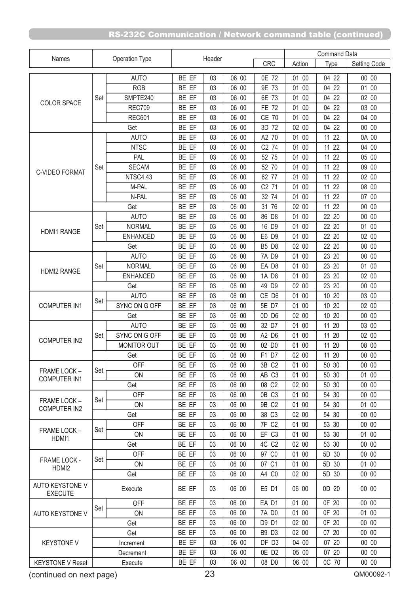|                                   | Operation Type |                 | Header |    |       |                   | <b>Command Data</b> |          |              |  |
|-----------------------------------|----------------|-----------------|--------|----|-------|-------------------|---------------------|----------|--------------|--|
| Names                             |                |                 |        |    |       | <b>CRC</b>        | Action              | Type     | Setting Code |  |
|                                   |                | <b>AUTO</b>     | BE EF  | 03 | 06 00 | 0E 72             | 01 00               | 04 22    | 00 00        |  |
|                                   |                | <b>RGB</b>      | BE EF  | 03 | 06 00 | 9E 73             | 01 00               | 04 22    | 01 00        |  |
|                                   | Set            | SMPTE240        | BE EF  | 03 | 06 00 | 6E 73             | 01 00               | 04 22    | 02 00        |  |
| <b>COLOR SPACE</b>                |                | <b>REC709</b>   | BE EF  | 03 | 06 00 | <b>FE 72</b>      | 01 00               | 04 22    | 03 00        |  |
|                                   |                | <b>REC601</b>   | BE EF  | 03 | 06 00 | <b>CE 70</b>      | 01 00               | 04 22    | 04 00        |  |
|                                   |                | Get             | BE EF  | 03 | 06 00 | 3D 72             | 02 00               | 22<br>04 | 00 00        |  |
|                                   |                | <b>AUTO</b>     | BE EF  | 03 | 06 00 | A2 70             | 01 00               | 11<br>22 | 0A 00        |  |
|                                   |                | <b>NTSC</b>     | BE EF  | 03 | 06 00 | C2 74             | 01 00               | 11<br>22 | 04 00        |  |
|                                   |                | PAL             | BE EF  | 03 | 06 00 | 52 75             | 01 00               | 22<br>11 | 05 00        |  |
|                                   | Set            | <b>SECAM</b>    | BE EF  | 03 | 06 00 | 52 70             | 01 00               | 11<br>22 | 09 00        |  |
| <b>C-VIDEO FORMAT</b>             |                | NTSC4.43        | BE EF  | 03 | 06 00 | 62 77             | 01 00               | 11<br>22 | 02 00        |  |
|                                   |                | M-PAL           | BE EF  | 03 | 06 00 | C2 71             | 01 00               | 11<br>22 | 08 00        |  |
|                                   |                | N-PAL           | BE EF  | 03 | 06 00 | 32 74             | 01 00               | 11<br>22 | 07 00        |  |
|                                   |                | Get             | BE EF  | 03 | 06 00 | 31 76             | 02 00               | 11<br>22 | 00 00        |  |
|                                   |                | <b>AUTO</b>     | BE EF  | 03 | 06 00 | 86 D8             | 01 00               | 22 20    | 00 00        |  |
|                                   | Set            | <b>NORMAL</b>   | BE EF  | 03 | 06 00 | 16 D9             | 01 00               | 22 20    | 01 00        |  |
| <b>HDMI1 RANGE</b>                |                | <b>ENHANCED</b> | BE EF  | 03 | 06 00 | E6 D9             | 01 00               | 22 20    | 02 00        |  |
|                                   |                | Get             | BE EF  | 03 | 06 00 | <b>B5 D8</b>      | 02 00               | 22 20    | 00 00        |  |
|                                   |                | <b>AUTO</b>     | BE EF  | 03 | 06 00 | 7A D9             | 01 00               | 23 20    | 00 00        |  |
|                                   | Set            | <b>NORMAL</b>   | BE EF  | 03 | 06 00 | EA D8             | 01 00               | 23 20    | 01 00        |  |
| <b>HDMI2 RANGE</b>                |                |                 | BE EF  | 03 | 06 00 |                   |                     | 23 20    | 02 00        |  |
|                                   |                | <b>ENHANCED</b> |        |    | 06 00 | 1A D8             | 01 00               |          | 00 00        |  |
|                                   |                | Get             | BE EF  | 03 |       | 49 D9             | 02 00               | 23 20    | 03 00        |  |
|                                   | Set            | <b>AUTO</b>     | BE EF  | 03 | 06 00 | CE D6             | 01 00               | 10 20    |              |  |
| <b>COMPUTER IN1</b>               |                | SYNC ON G OFF   | BE EF  | 03 | 06 00 | 5E D7             | 01 00               | 10 20    | 02 00        |  |
|                                   |                | Get             | BE EF  | 03 | 06 00 | OD D6             | 02 00               | 10 20    | 00 00        |  |
|                                   |                | <b>AUTO</b>     | BE EF  | 03 | 06 00 | 32 D7             | 01 00               | 11<br>20 | 03 00        |  |
| <b>COMPUTER IN2</b>               | Set            | SYNC ON G OFF   | BE EF  | 03 | 06 00 | A2 D6             | 01 00               | 11 20    | 02 00        |  |
|                                   |                | MONITOR OUT     | BE EF  | 03 | 06 00 | 02 DO             | 01 00               | 11 20    | 08 00        |  |
|                                   |                | Get             | BE EF  | 03 | 06 00 | F1 D7             | 02 00               | 11 20    | 00 00        |  |
| FRAME LOCK -                      | Set            | <b>OFF</b>      | BE EF  | 03 | 06 00 | 3B C2             | 01 00               | 50 30    | 00 00        |  |
| <b>COMPUTER IN1</b>               |                | ON              | BE EF  | 03 | 06 00 | AB C3             | 01 00               | 50 30    | 01 00        |  |
|                                   |                | Get             | BE EF  | 03 | 06 00 | 08 C2             | 02 00               | 50 30    | 00 00        |  |
| <b>FRAME LOCK -</b>               | Set            | <b>OFF</b>      | BE EF  | 03 | 06 00 | OB C3             | 01 00               | 54 30    | 00 00        |  |
| <b>COMPUTER IN2</b>               |                | 0N              | BE EF  | 03 | 06 00 | 9B C2             | 01 00               | 54 30    | 01 00        |  |
|                                   |                | Get             | BE EF  | 03 | 06 00 | 38 C3             | 02 00               | 54 30    | 00 00        |  |
| FRAME LOCK -                      | Set            | <b>OFF</b>      | BE EF  | 03 | 06 00 | 7F C2             | 01 00               | 53 30    | 00 00        |  |
| HDMI1                             |                | ON              | BE EF  | 03 | 06 00 | EF C3             | 01 00               | 53 30    | 01 00        |  |
|                                   |                | Get             | BE EF  | 03 | 06 00 | 4C C <sub>2</sub> | 02 00               | 53 30    | 00 00        |  |
| <b>FRAME LOCK -</b>               | Set            | <b>OFF</b>      | BE EF  | 03 | 06 00 | 97 CO             | 01 00               | 5D 30    | 00 00        |  |
| HDMI2                             |                | <b>ON</b>       | BE EF  | 03 | 06 00 | 07 C1             | 01 00               | 5D 30    | 01 00        |  |
|                                   |                | Get             | BE EF  | 03 | 06 00 | A4 C0             | 02 00               | 5D 30    | 00 00        |  |
| AUTO KEYSTONE V<br><b>EXECUTE</b> | Execute        |                 | BE EF  | 03 | 06 00 | E5 D1             | 06 00               | 0D 20    | 00 00        |  |
|                                   |                | <b>OFF</b>      | BE EF  | 03 | 06 00 | EA D1             | 01 00               | 0F 20    | 00 00        |  |
| Set<br><b>AUTO KEYSTONE V</b>     |                | ON              | BE EF  | 03 | 06 00 | 7A D0             | 01 00               | 0F 20    | 01 00        |  |
|                                   |                | Get             | BE EF  | 03 | 06 00 | D9 D1             | 02 00               | 0F 20    | 00 00        |  |
|                                   |                | Get             | BE EF  | 03 | 06 00 | B9 D3             | 02 00               | 07 20    | 00 00        |  |
| <b>KEYSTONE V</b>                 |                | Increment       | BE EF  | 03 | 06 00 | DF D3             | 04 00               | 07 20    | 00 00        |  |
|                                   |                | Decrement       | BE EF  | 03 | 06 00 | OE D <sub>2</sub> | 05 00               | 07 20    | 00 00        |  |
| <b>KEYSTONE V Reset</b>           |                | Execute         | BE EF  | 03 | 06 00 | 08 D <sub>0</sub> | 06 00               | 0C 70    | 00 00        |  |

(continued on next page)

23 QM00092-1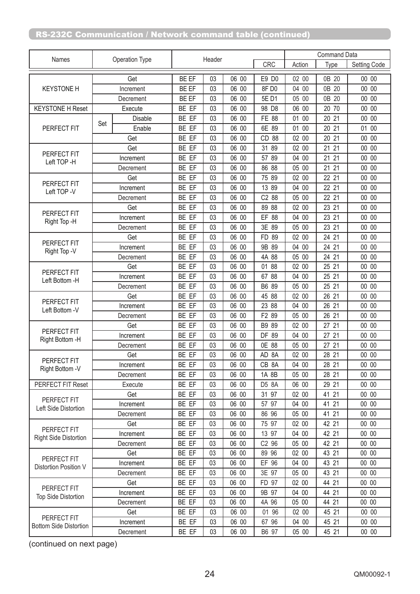|                                     |           |                |              |        |       |          | <b>Command Data</b> |          |              |  |
|-------------------------------------|-----------|----------------|--------------|--------|-------|----------|---------------------|----------|--------------|--|
| Names                               |           | Operation Type |              | Header |       | CRC      | Action              | Type     | Setting Code |  |
|                                     |           | Get            | BE EF        | 03     | 06 00 | E9 D0    | 02 00               | 0B 20    | 00 00        |  |
| <b>KEYSTONE H</b>                   |           | Increment      | BE EF        | 03     | 06 00 | 8FD0     | 04 00               | 0B<br>20 | 00 00        |  |
|                                     |           | Decrement      | <b>BE EF</b> | 03     | 06 00 | 5E D1    | 05 00               | 0B 20    | 00 00        |  |
| <b>KEYSTONE H Reset</b>             |           | Execute        | BE EF        | 03     | 06 00 | 98 D8    | 06 00               | 20 70    | 00 00        |  |
|                                     |           | Disable        | BE EF        | 03     | 06 00 | FE 88    | 01 00               | 21<br>20 | 00 00        |  |
| PERFECT FIT                         | Set       | Enable         | BE EF        | 03     | 06 00 | 6E 89    | 01 00               | 20 21    | 01 00        |  |
|                                     |           | Get            | BE EF        | 03     | 06 00 | CD 88    | 02 00               | 20 21    | 00 00        |  |
|                                     |           | Get            | BE EF        | 03     | 06 00 | 31<br>89 | 02 00               | 21<br>21 | 00 00        |  |
| PERFECT FIT                         |           | Increment      | BE EF        | 03     | 06 00 | 57 89    | 04 00               | 21 21    | 00 00        |  |
| Left TOP -H                         | Decrement |                | BE EF        | 03     | 06 00 | 86 88    | 05 00               | 21 21    | 00 00        |  |
|                                     |           | Get            | BE EF        | 03     | 06 00 | 75 89    | 02 00               | 22 21    | 00 00        |  |
| PERFECT FIT<br>Left TOP -V          |           | Increment      | BE EF        | 03     | 06 00 | 13 89    | 04 00               | 22 21    | 00 00        |  |
|                                     |           | Decrement      | BE EF        | 03     | 06 00 | C2 88    | 05 00               | 22 21    | 00 00        |  |
|                                     | Get       |                | BE EF        | 03     | 06 00 | 89 88    | 02 00               | 23 21    | 00 00        |  |
| PERFECT FIT                         |           | Increment      | BE EF        | 03     | 06 00 | EF 88    | 04 00               | 23 21    | 00 00        |  |
| Right Top -H                        |           | Decrement      | BE EF        | 03     | 06 00 | 3E 89    | 05 00               | 23 21    | 00 00        |  |
|                                     |           | Get            | BE EF        | 03     | 06 00 | FD 89    | 02 00               | 24 21    | 00 00        |  |
| PERFECT FIT                         |           | Increment      | BE EF        | 03     | 06 00 | 9B 89    | 04 00               | 24 21    | 00 00        |  |
| Right Top -V                        |           | Decrement      | BE EF        | 03     | 06 00 | 4A 88    | 05 00               | 24 21    | 00 00        |  |
|                                     |           | Get            | BE EF        | 03     | 06 00 | 01<br>88 | 02 00               | 25 21    | 00 00        |  |
| PERFECT FIT                         |           | Increment      | BE EF        | 03     | 06 00 | 67 88    | 04 00               | 25 21    | 00 00        |  |
| Left Bottom -H                      |           | Decrement      | BE EF        | 03     | 06 00 | B6 89    | 05 00               | 25 21    | 00 00        |  |
|                                     |           | Get            | BE EF        | 03     | 06 00 | 45 88    | 02 00               | 26 21    | 00 00        |  |
| PERFECT FIT<br>Left Bottom -V       |           | Increment      | BE EF        | 03     | 06 00 | 23 88    | 04 00               | 26 21    | 00 00        |  |
|                                     |           | Decrement      | BE EF        | 03     | 06 00 | F2 89    | 05 00               | 26 21    | 00 00        |  |
|                                     |           | Get            | BE EF        | 03     | 06 00 | B9 89    | 02 00               | 27 21    | 00 00        |  |
| PERFECT FIT<br>Right Bottom -H      | Increment |                | BE EF        | 03     | 06 00 | DF 89    | 04 00               | 27 21    | 00 00        |  |
|                                     |           | Decrement      | BE EF        | 03     | 06 00 | 0E 88    | 05 00               | 27 21    | 00 00        |  |
|                                     |           | Get            | BE EF        | 03     | 06 00 | AD 8A    | 02 00               | 28 21    | 00 00        |  |
| PERFECT FIT<br>Right Bottom -V      |           | Increment      | BE EF        | 03     | 06 00 | CB 8A    | 04 00               | 28 21    | 00 00        |  |
|                                     |           | Decrement      | BE EF        | 03     | 06 00 | 1A 8B    | 05 00               | 28 21    | 00 00        |  |
| PERFECT FIT Reset                   |           | Execute        | BE EF        | 03     | 06 00 | D5 8A    | 06 00               | 29 21    | 00 00        |  |
|                                     |           | Get            | BE EF        | 03     | 06 00 | 31 97    | 02 00               | 41 21    | 00 00        |  |
| PERFECT FIT<br>Left Side Distortion |           | Increment      | BE EF        | 03     | 06 00 | 57 97    | 04 00               | 41 21    | 00 00        |  |
|                                     |           | Decrement      | BE EF        | 03     | 06 00 | 86 96    | 05 00               | 41 21    | 00 00        |  |
| PERFECT FIT                         |           | Get            | BE EF        | 03     | 06 00 | 75 97    | 02 00               | 42 21    | 00 00        |  |
| <b>Right Side Distortion</b>        |           | Increment      | BE EF        | 03     | 06 00 | 13 97    | 04 00               | 42 21    | 00 00        |  |
|                                     |           | Decrement      | BE EF        | 03     | 06 00 | C2 96    | 05 00               | 42 21    | 00 00        |  |
| PERFECT FIT                         |           | Get            | BE EF        | 03     | 06 00 | 89 96    | 02 00               | 43 21    | 00 00        |  |
| Distortion Position V               |           | Increment      | BE EF        | 03     | 06 00 | EF 96    | 04 00               | 43 21    | 00 00        |  |
|                                     |           | Decrement      | BE EF        | 03     | 06 00 | 3E 97    | 05 00               | 43 21    | 00 00        |  |
| PERFECT FIT                         |           | Get            | BE EF        | 03     | 06 00 | FD 97    | 02 00               | 44 21    | 00 00        |  |
| <b>Top Side Distortion</b>          |           | Increment      | BE EF        | 03     | 06 00 | 9B 97    | 04 00               | 44 21    | 00 00        |  |
|                                     |           | Decrement      | BE EF        | 03     | 06 00 | 4A 96    | 05 00               | 44 21    | 00 00        |  |
| PERFECT FIT                         |           | Get            | BE EF        | 03     | 06 00 | 01 96    | 02 00               | 45 21    | 00 00        |  |
| <b>Bottom Side Distortion</b>       |           | Increment      | BE EF        | 03     | 06 00 | 67 96    | 04 00               | 45 21    | 00 00        |  |
|                                     |           | Decrement      | BE EF        | 03     | 06 00 | B6 97    | 05 00               | 45 21    | 00 00        |  |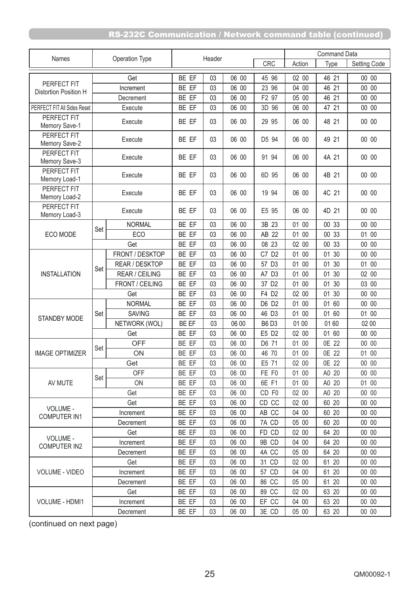|                                      | Operation Type |                       | Header         |          |                |                      | Command Data   |                   |                |
|--------------------------------------|----------------|-----------------------|----------------|----------|----------------|----------------------|----------------|-------------------|----------------|
| Names                                |                |                       |                |          |                | CRC                  | Action         | Type              | Setting Code   |
|                                      |                | Get                   | BE EF          | 03       | 06 00          | 45 96                | 02 00          | 46 21             | 00 00          |
| PERFECT FIT<br>Distortion Position H |                | Increment             | BE EF          | 03       | 06 00          | 23 96                | 04 00          | 46 21             | 00 00          |
|                                      |                | Decrement             | BE EF          | 03       | 06 00          | F2 97                | 05 00          | 46 21             | 00 00          |
| PERFECT FIT All Sides Reset          |                | Execute               | BE EF          | 03       | 06 00          | 3D 96                | 06 00          | 47 21             | 00 00          |
| PERFECT FIT<br>Memory Save-1         | Execute        |                       | BE EF          | 03       | 06 00          | 29 95                | 06 00          | 48 21             | 00 00          |
| PERFECT FIT<br>Memory Save-2         |                | Execute               | BE EF          | 03       | 06 00          | D5 94                | 06 00          | 49 21             | 00 00          |
| PERFECT FIT<br>Memory Save-3         |                | Execute               | BE EF          | 03       | 06 00          | 91 94                | 06 00          | 4A 21             | 00 00          |
| PERFECT FIT<br>Memory Load-1         |                | Execute               | BE EF          | 03       | 06 00          | 6D 95                | 06 00          | 4B 21             | 00 00          |
| PERFECT FIT<br>Memory Load-2         |                | Execute               | BE EF          | 03       | 06 00          | 19 94                | 06 00          | 4C 21             | 00 00          |
| PERFECT FIT<br>Memory Load-3         |                | Execute               | BE EF          | 03       | 06 00          | E5 95                | 06 00          | 4D 21             | 00 00          |
|                                      | Set            | <b>NORMAL</b>         | BE EF          | 03       | 06 00          | 3B 23                | 01 00          | 00 33             | 00 00          |
| ECO MODE                             |                | ECO                   | BE EF          | 03       | 06 00          | AB 22                | 01 00          | 00 33             | 01 00          |
|                                      |                | Get                   | BE EF          | 03       | 06 00          | 08 23                | 02 00          | 00 33             | 00 00          |
|                                      |                | FRONT / DESKTOP       | BE EF          | 03       | 06 00          | C7 D2                | 01 00          | 30<br>01          | 00 00          |
| <b>INSTALLATION</b>                  | Set            | REAR / DESKTOP        | BE EF          | 03       | 06 00          | 57 D3                | 01 00          | 30<br>01          | 01 00          |
|                                      |                | <b>REAR / CEILING</b> | BE EF          | 03       | 06 00          | A7 D3                | 01 00          | 01<br>30          | 02 00          |
|                                      |                | FRONT / CEILING       | BE EF          | 03       | 06 00          | 37 D <sub>2</sub>    | 01 00          | 30<br>01          | 03 00          |
|                                      |                | Get                   | BE EF          | 03       | 06 00          | F4 D2                | 02 00          | 01 30             | 00 00          |
|                                      |                | <b>NORMAL</b>         | BE EF          | 03       | 06 00          | D6 D2                | 01 00          | 01<br>60          | 00 00          |
| <b>STANDBY MODE</b>                  | Set            | <b>SAVING</b>         | BE EF<br>BE EF | 03       | 06 00<br>06 00 | 46 D3<br><b>B6D3</b> | 01 00<br>01 00 | 60<br>01<br>01 60 | 01 00<br>02 00 |
|                                      |                | NETWORK (WOL)<br>Get  | BE EF          | 03<br>03 | 06 00          | E5 D2                | 02 00          | 01 60             | 00 00          |
|                                      |                | <b>OFF</b>            | BE EF          | 03       | 06 00          | D6 71                | 01 00          | 0E 22             | 00 00          |
| <b>IMAGE OPTIMIZER</b>               | Set            | ON                    | BE EF          | 03       | 06 00          | 46 70                | 01 00          | 0E 22             | 01 00          |
|                                      |                | Get                   | BE EF          | 03       | 06 00          | E5 71                | 02 00          | 0E 22             | 00 00          |
|                                      |                | <b>OFF</b>            | BE EF          | 03       | 06 00          | FE F0                | 01 00          | A0 20             | 00 00          |
| AV MUTE                              | Set            | <b>ON</b>             | BE EF          | 03       | 06 00          | 6E F1                | 01 00          | A0 20             | 01 00          |
|                                      |                | Get                   | BE EF          | 03       | 06 00          | CD F0                | 02 00          | A0 20             | 00 00          |
|                                      |                | Get                   | BE EF          | 03       | 06 00          | CD CC                | 02 00          | 60 20             | 00 00          |
| VOLUME -<br><b>COMPUTER IN1</b>      |                | Increment             | BE EF          | 03       | 06 00          | AB CC                | 04 00          | 60 20             | 00 00          |
|                                      |                | Decrement             | BE EF          | 03       | 06 00          | 7A CD                | 05 00          | 60 20             | 00 00          |
|                                      |                | Get                   | BE EF          | 03       | 06 00          | FD CD                | 02 00          | 64 20             | 00 00          |
| VOLUME -<br><b>COMPUTER IN2</b>      |                | Increment             | BE EF          | 03       | 06 00          | 9B CD                | 04 00          | 64 20             | 00 00          |
|                                      |                | Decrement             | BE EF          | 03       | 06 00          | 4A CC                | 05 00          | 64 20             | 00 00          |
|                                      |                | Get                   | BE EF          | 03       | 06 00          | 31 CD                | 02 00          | 61 20             | 00 00          |
| <b>VOLUME - VIDEO</b>                |                | Increment             | BE EF          | 03       | 06 00          | 57 CD                | 04 00          | 61 20             | 00 00          |
|                                      |                | Decrement             | BE EF          | 03       | 06 00          | 86 CC                | 05 00          | 61 20             | 00 00          |
|                                      |                | Get                   | BE EF          | 03       | 06 00          | 89 CC                | 02 00          | 63 20             | 00 00          |
| <b>VOLUME - HDMI1</b>                |                | Increment             | BE EF          | 03       | 06 00          | EF CC                | 04 00          | 63 20             | 00 00          |
|                                      |                | Decrement             | BE EF          | 03       | 06 00          | 3E CD                | 05 00          | 63 20             | 00 00          |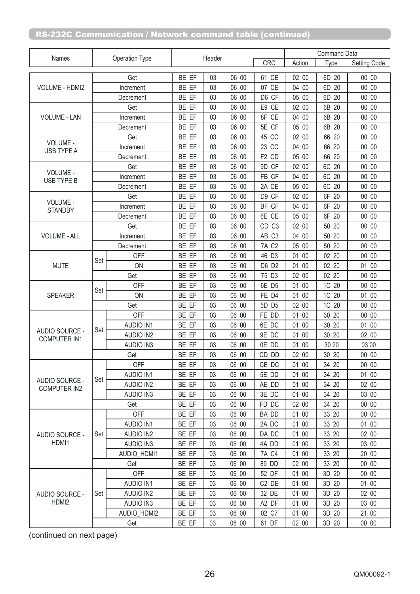|                                       |           |                    |       |        |       |                        | <b>Command Data</b> |          |              |
|---------------------------------------|-----------|--------------------|-------|--------|-------|------------------------|---------------------|----------|--------------|
| Names                                 |           | Operation Type     |       | Header |       | CRC                    | Action              | Type     | Setting Code |
|                                       |           | Get                | BE EF | 03     | 06 00 | 61 CE                  | 02 00               | 6D 20    | 00 00        |
| <b>VOLUME - HDMI2</b>                 |           | Increment          | BE EF | 03     | 06 00 | <b>CE</b><br>07        | 04 00               | 6D<br>20 | 00 00        |
|                                       |           | Decrement          | BE EF | 03     | 06 00 | D6 CF                  | 05 00               | 6D 20    | 00 00        |
|                                       |           | Get                | BE EF | 03     | 06 00 | E9 CE                  | 02 00               | 6B 20    | 00 00        |
| <b>VOLUME - LAN</b>                   |           | Increment          | BE EF | 03     | 06 00 | 8F CE                  | 04 00               | 6B 20    | 00 00        |
|                                       |           | Decrement          | BE EF | 03     | 06 00 | 5E CF                  | 05 00               | 6B 20    | 00 00        |
|                                       |           | Get                | BE EF | 03     | 06 00 | 45 CC                  | 02 00               | 66 20    | 00 00        |
| VOLUME -<br>USB TYPE A                | Increment |                    | BE EF | 03     | 06 00 | 23 CC                  | 04 00               | 66<br>20 | 00 00        |
|                                       |           | Decrement          | BE EF | 03     | 06 00 | F <sub>2</sub> CD      | 05 00               | 66 20    | 00 00        |
|                                       | Get       |                    | BE EF | 03     | 06 00 | 9D CF                  | 02 00               | 6C 20    | 00 00        |
| VOLUME -<br>USB TYPE B                | Increment |                    | BE EF | 03     | 06 00 | <b>CF</b><br><b>FB</b> | 04 00               | 6C<br>20 | 00 00        |
|                                       |           | Decrement          | BE EF | 03     | 06 00 | 2A CE                  | 05 00               | 6C 20    | 00 00        |
|                                       |           | Get                | BE EF | 03     | 06 00 | D9 CF                  | 02 00               | 6F 20    | 00 00        |
| VOLUME -<br><b>STANDBY</b>            |           | Increment          | BE EF | 03     | 06 00 | BF CF                  | 04 00               | 6F 20    | 00 00        |
|                                       |           | Decrement          | BE EF | 03     | 06 00 | 6E CE                  | 05 00               | 6F 20    | 00 00        |
|                                       |           | Get                | BE EF | 03     | 06 00 | CD <sub>C3</sub>       | 02 00               | 50 20    | 00 00        |
| <b>VOLUME - ALL</b>                   |           | Increment          | BE EF | 03     | 06 00 | AB C3                  | 04 00               | 50 20    | 00 00        |
|                                       |           | Decrement          | BE EF | 03     | 06 00 | <b>7A C2</b>           | 05 00               | 50 20    | 00 00        |
|                                       |           | <b>OFF</b>         | BE EF | 03     | 06 00 | 46 D3                  | 01 00               | 02 20    | 00 00        |
| <b>MUTE</b>                           | Set       | ON                 | BE EF | 03     | 06 00 | D6 D2                  | 01 00               | 02 20    | 01 00        |
|                                       |           | Get                | BE EF | 03     | 06 00 | 75 D3                  | 02 00               | 02 20    | 00 00        |
| <b>SPEAKER</b>                        |           | <b>OFF</b>         | BE EF | 03     | 06 00 | 6E D5                  | 01 00               | 1C 20    | 00 00        |
|                                       | Set       | ON                 | BE EF | 03     | 06 00 | FE D4                  | 01<br>00            | 1C<br>20 | 01 00        |
|                                       |           | Get                | BE EF | 03     | 06 00 | 5D D5                  | 02 00               | 1C<br>20 | 00 00        |
|                                       | Set       | <b>OFF</b>         | BE EF | 03     | 06 00 | FE DD                  | 01 00               | 30 20    | 00 00        |
|                                       |           | <b>AUDIO IN1</b>   | BE EF | 03     | 06 00 | 6E DC                  | 01 00               | 20<br>30 | 01 00        |
| AUDIO SOURCE -<br><b>COMPUTER IN1</b> |           | <b>AUDIO IN2</b>   | BE EF | 03     | 06 00 | 9E DC                  | 01 00               | 30 20    | 02 00        |
|                                       |           | <b>AUDIO IN3</b>   | BE EF | 03     | 06 00 | 0E DD                  | 01 00               | 30 20    | 03 00        |
|                                       |           | Get                | BE EF | 03     | 06 00 | CD DD                  | 02 00               | 30 20    | 00 00        |
|                                       |           | OFF                | BE EF | 03     | 06 00 | CE DC                  | 01 00               | 34 20    | 00 00        |
|                                       | Set       | <b>AUDIO IN1</b>   | BE EF | 03     | 06 00 | 5E DD                  | 01 00               | 34 20    | 01 00        |
| AUDIO SOURCE -<br><b>COMPUTER IN2</b> |           | <b>AUDIO IN2</b>   | BE EF | 03     | 06 00 | AE DD                  | 01 00               | 34 20    | 02 00        |
|                                       |           | <b>AUDIO IN3</b>   | BE EF | 03     | 06 00 | 3E DC                  | 01 00               | 34 20    | 03 00        |
|                                       |           | Get                | BE EF | 03     | 06 00 | FD DC                  | 02 00               | 34 20    | 00 00        |
|                                       |           | <b>OFF</b>         | BE EF | 03     | 06 00 | BA DD                  | 01 00               | 33 20    | 00 00        |
|                                       |           | <b>AUDIO IN1</b>   | BE EF | 03     | 06 00 | 2A DC                  | 01 00               | 33 20    | 01 00        |
| AUDIO SOURCE -                        | Set       | <b>AUDIO IN2</b>   | BE EF | 03     | 06 00 | DA DC                  | 01 00               | 33 20    | 02 00        |
| HDMI1                                 |           | <b>AUDIO IN3</b>   | BE EF | 03     | 06 00 | 4A DD                  | 01 00               | 33 20    | 03 00        |
|                                       |           | <b>AUDIO HDMI1</b> | BE EF | 03     | 06 00 | <b>7A C4</b>           | 01 00               | 33 20    | 20 00        |
|                                       |           | Get                | BE EF | 03     | 06 00 | 89 DD                  | 02 00               | 33 20    | 00 00        |
|                                       |           | <b>OFF</b>         | BE EF | 03     | 06 00 | 52 DF                  | 01 00               | 3D 20    | 00 00        |
|                                       |           | <b>AUDIO IN1</b>   | BE EF | 03     | 06 00 | C <sub>2</sub> DE      | 01 00               | 3D 20    | 01 00        |
| AUDIO SOURCE -                        | Set       | <b>AUDIO IN2</b>   | BE EF | 03     | 06 00 | 32 DE                  | 01 00               | 3D 20    | 02 00        |
| HDMI2                                 |           | <b>AUDIO IN3</b>   | BE EF | 03     | 06 00 | A2 DF                  | 01 00               | 3D 20    | 03 00        |
|                                       |           | AUDIO_HDMI2        | BE EF | 03     | 06 00 | 02 C7                  | 01 00               | 3D 20    | 21 00        |
|                                       |           | Get                | BE EF | 03     | 06 00 | 61 DF                  | 02 00               | 3D 20    | 00 00        |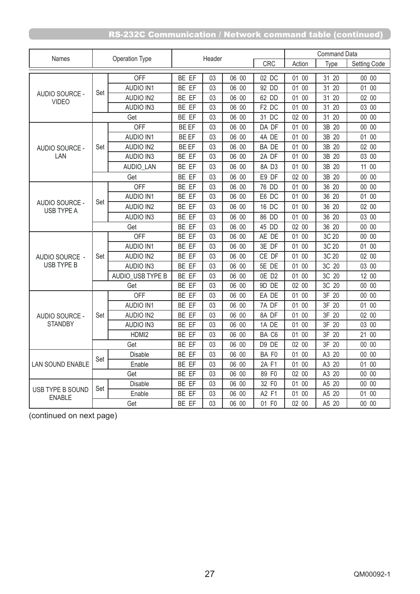|                                   |     | Operation Type   |       | Header |       |                      |        | <b>Command Data</b>  |                     |
|-----------------------------------|-----|------------------|-------|--------|-------|----------------------|--------|----------------------|---------------------|
| Names                             |     |                  |       |        |       | CRC                  | Action | Type                 | <b>Setting Code</b> |
|                                   |     | <b>OFF</b>       | BE EF | 03     | 06 00 | 02 DC                | 01 00  | 31 20                | 00 00               |
|                                   |     | <b>AUDIO IN1</b> | BE EF | 03     | 06 00 | 92 DD                | 01 00  | 31<br>20             | 01 00               |
| AUDIO SOURCE -<br><b>VIDEO</b>    | Set | <b>AUDIO IN2</b> | BE EF | 03     | 06 00 | 62 DD                | 01 00  | 31 20                | 02 00               |
|                                   |     | <b>AUDIO IN3</b> | BE EF | 03     | 06 00 | F <sub>2</sub> DC    | 01 00  | 31 20                | 03 00               |
|                                   |     | Get              | BE EF | 03     | 06 00 | 31 DC                | 02 00  | 20<br>31             | 00 00               |
|                                   |     | <b>OFF</b>       | BE EF | 03     | 06 00 | DA DF                | 01 00  | 3B<br>20             | 00 00               |
|                                   |     | <b>AUDIO IN1</b> | BE EF | 03     | 06 00 | 4A DE                | 01 00  | 3B<br>20             | 01 00               |
| AUDIO SOURCE -                    | Set | <b>AUDIO IN2</b> | BE EF | 03     | 06 00 | <b>BADE</b>          | 01 00  | 3B<br>20             | 02 00               |
| LAN                               |     | <b>AUDIO IN3</b> | BE EF | 03     | 06 00 | 2A DF                | 01 00  | 3B 20                | 03 00               |
|                                   |     | <b>AUDIO LAN</b> | BE EF | 03     | 06 00 | 8A D3                | 01 00  | 3B 20                | 11 00               |
|                                   |     | Get              | BE EF | 03     | 06 00 | E9 DF                | 02 00  | 3B 20                | 00 00               |
|                                   |     | <b>OFF</b>       | BE EF | 03     | 06 00 | 76<br><b>DD</b>      | 01 00  | 36<br>20             | 00 00               |
|                                   | Set | <b>AUDIO IN1</b> | BE EF | 03     | 06 00 | E <sub>6</sub><br>DC | 01 00  | 36<br>20             | 01 00               |
| AUDIO SOURCE -<br>USB TYPE A      |     | <b>AUDIO IN2</b> | BE EF | 03     | 06 00 | 16 DC                | 01 00  | 36 20                | 02 00               |
|                                   |     | <b>AUDIO IN3</b> | BE EF | 03     | 06 00 | 86 DD                | 01 00  | 36 20                | 03 00               |
|                                   |     | Get              | BE EF | 03     | 06 00 | 45 DD                | 02 00  | 36 20                | 00 00               |
|                                   |     | <b>OFF</b>       | BE EF | 03     | 06 00 | AE DE                | 01 00  | 3C 20                | 00 00               |
|                                   | Set | <b>AUDIO IN1</b> | BE EF | 03     | 06 00 | 3E DF                | 01 00  | 3C 20                | 01 00               |
| AUDIO SOURCE -                    |     | <b>AUDIO IN2</b> | BE EF | 03     | 06 00 | CE DF                | 01 00  | 3C 20                | 02 00               |
| USB TYPE B                        |     | <b>AUDIO IN3</b> | BE EF | 03     | 06 00 | 5E DE                | 01 00  | 3C 20                | 03 00               |
|                                   |     | AUDIO_USB TYPE B | BE EF | 03     | 06 00 | OE D2                | 01 00  | 3C 20                | 12 00               |
|                                   |     | Get              | BE EF | 03     | 06 00 | 9D DE                | 02 00  | 3C 20                | 00 00               |
|                                   |     | <b>OFF</b>       | BE EF | 03     | 06 00 | EA DE                | 01 00  | 3F 20                | 00 00               |
|                                   |     | <b>AUDIO IN1</b> | BE EF | 03     | 06 00 | 7A DF                | 01 00  | 3F 20                | 01 00               |
| AUDIO SOURCE -                    | Set | <b>AUDIO IN2</b> | BE EF | 03     | 06 00 | 8A DF                | 01 00  | 3F 20                | 02 00               |
| <b>STANDBY</b>                    |     | <b>AUDIO IN3</b> | BE EF | 03     | 06 00 | 1A DE                | 01 00  | 3F 20                | 03 00               |
|                                   |     | HDMI2            | BE EF | 03     | 06 00 | BA C6                | 01 00  | 3F<br>20             | 21 00               |
|                                   |     | Get              | BE EF | 03     | 06 00 | D9 DE                | 02 00  | 20<br>3F             | 0000                |
|                                   | Set | Disable          | BE EF | 03     | 06 00 | BA F0                | 01 00  | A3 20                | 00 00               |
| <b>LAN SOUND ENABLE</b>           |     | Enable           | BE EF | 03     | 06 00 | 2A F1                | 01 00  | A <sub>3</sub><br>20 | 01 00               |
|                                   |     | Get              | BE EF | 03     | 06 00 | 89 F0                | 02 00  | A <sub>3</sub><br>20 | 00 00               |
|                                   | Set | Disable          | BE EF | 03     | 06 00 | 32 F0                | 01 00  | A <sub>5</sub><br>20 | 00 00               |
| USB TYPE B SOUND<br><b>ENABLE</b> |     | Enable           | BE EF | 03     | 06 00 | A2 F1                | 01 00  | A <sub>5</sub><br>20 | 01 00               |
|                                   |     | Get              | BE EF | 03     | 06 00 | 01 F0                | 02 00  | A5 20                | 00 00               |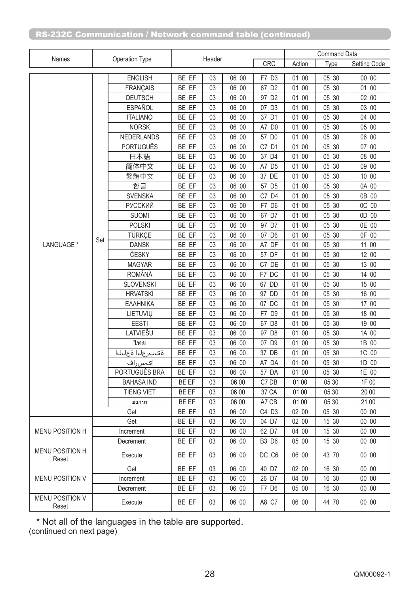|                                 | Operation Type |                   |       |        |       |                      | <b>Command Data</b> |       |              |  |
|---------------------------------|----------------|-------------------|-------|--------|-------|----------------------|---------------------|-------|--------------|--|
| Names                           |                |                   |       | Header |       | CRC                  | Action              | Type  | Setting Code |  |
|                                 |                | <b>ENGLISH</b>    | BE EF | 03     | 06 00 | F7 D3                | 01 00               | 05 30 | 00 00        |  |
|                                 |                | <b>FRANÇAIS</b>   | BE EF | 03     | 06 00 | 67 D2                | 01 00               | 05 30 | 01 00        |  |
|                                 |                | <b>DEUTSCH</b>    | BE EF | 03     | 06 00 | 97 D <sub>2</sub>    | 01 00               | 05 30 | 02 00        |  |
|                                 |                | <b>ESPAÑOL</b>    | BE EF | 03     | 06 00 | 07 D3                | 01 00               | 05 30 | 03 00        |  |
|                                 |                | <b>ITALIANO</b>   | BE EF | 03     | 06 00 | 37 D1                | 01 00               | 05 30 | 04 00        |  |
|                                 |                | <b>NORSK</b>      | BE EF | 03     | 06 00 | A7 D0                | 01 00               | 05 30 | 05 00        |  |
|                                 |                | <b>NEDERLANDS</b> | BE EF | 03     | 06 00 | 57 D0                | 01 00               | 05 30 | 06 00        |  |
|                                 |                | <b>PORTUGUÊS</b>  | BE EF | 03     | 06 00 | C7 D1                | 01 00               | 05 30 | 07 00        |  |
|                                 |                | 日本語               | BE EF | 03     | 06 00 | 37 D4                | 01 00               | 05 30 | 08 00        |  |
|                                 |                | 简体中文              | BE EF | 03     | 06 00 | A7 D5                | 01 00               | 05 30 | 09 00        |  |
|                                 |                | 繁體中文              | BE EF | 03     | 06 00 | 37 DE                | 01 00               | 05 30 | 10 00        |  |
|                                 |                | 한글                | BE EF | 03     | 06 00 | 57 D5                | 01 00               | 05 30 | 0A 00        |  |
|                                 |                | <b>SVENSKA</b>    | BE EF | 03     | 06 00 | C7 D4                | 01 00               | 05 30 | 0B 00        |  |
|                                 |                | <b>РУССКИЙ</b>    | BE EF | 03     | 06 00 | F7 D6                | 01 00               | 05 30 | OC 00        |  |
|                                 |                | <b>SUOMI</b>      | BE EF | 03     | 06 00 | 67 D7                | 01 00               | 05 30 | 0D 00        |  |
|                                 |                | <b>POLSKI</b>     | BE EF | 03     | 06 00 | 97 D7                | 01 00               | 05 30 | 0E 00        |  |
|                                 |                | TÜRKÇE            | BE EF | 03     | 06 00 | 07 D6                | 01 00               | 05 30 | 0F 00        |  |
| LANGUAGE *                      | Set            | <b>DANSK</b>      | BE EF | 03     | 06 00 | A7 DF                | 01 00               | 05 30 | 11 00        |  |
|                                 |                | ČESKY             | BE EF | 03     | 06 00 | 57 DF                | 01 00               | 05 30 | 12 00        |  |
|                                 |                | <b>MAGYAR</b>     | BE EF | 03     | 06 00 | DE<br>C7             | 01 00               | 05 30 | 13 00        |  |
|                                 |                | <b>ROMÂNĂ</b>     | BE EF | 03     | 06 00 | F7 DC                | 01 00               | 05 30 | 14 00        |  |
|                                 |                | <b>SLOVENSKI</b>  | BE EF | 03     | 06 00 | 67 DD                | 01 00               | 05 30 | 15 00        |  |
|                                 |                | <b>HRVATSKI</b>   | BE EF | 03     | 06 00 | 97 DD                | 01 00               | 05 30 | 16 00        |  |
|                                 |                | ΕΛΛΗΝΙΚΑ          | BE EF | 03     | 06 00 | 07 DC                | 01 00               | 05 30 | 17 00        |  |
|                                 |                | LIETUVIŲ          | BE EF | 03     | 06 00 | F7<br>D <sub>9</sub> | 01 00               | 05 30 | 18 00        |  |
|                                 |                | <b>EESTI</b>      | BE EF | 03     | 06 00 | 67 D8                | 01 00               | 05 30 | 19 00        |  |
|                                 |                | LATVIEŠU          | BE EF | 03     | 06 00 | 97 D8                | 01 00               | 05 30 | 1A 00        |  |
|                                 |                | ไทย               | BE EF | 03     | 06 00 | 07 D9                | 01 00               | 05 30 | 1B 00        |  |
|                                 |                | انابة اناوب وة    | BE EF | 03     | 06 00 | 37 DB                | 01 00               | 05 30 | 1C 00        |  |
|                                 |                | '∣ګسراف           | BE EF | 03     | 06 00 | A7 DA                | 01 00               | 05 30 | 1D 00        |  |
|                                 |                | PORTUGUÊS BRA     | BE EF | 03     | 06 00 | 57 DA                | 01 00               | 05 30 | 1E 00        |  |
|                                 |                | <b>BAHASA IND</b> | BE EF | 03     | 06 00 | C7 DB                | 01 00               | 05 30 | 1F 00        |  |
|                                 |                | <b>TIENG VIET</b> | BE EF | 03     | 06 00 | 37 CA                | 01 00               | 05 30 | 20 00        |  |
|                                 |                | חירבע             | BE EF | 03     | 06 00 | A7 CB                | 01 00               | 05 30 | 21 00        |  |
|                                 |                | Get               | BE EF | 03     | 06 00 | C4 D3                | 02 00               | 05 30 | 00 00        |  |
|                                 |                | Get               | BE EF | 03     | 06 00 | 04 D7                | 02 00               | 15 30 | 00 00        |  |
| MENU POSITION H                 |                | Increment         | BE EF | 03     | 06 00 | 62 D7                | 04 00               | 15 30 | 00 00        |  |
|                                 |                | Decrement         | BE EF | 03     | 06 00 | <b>B3 D6</b>         | 05 00               | 15 30 | 00 00        |  |
| MENU POSITION H<br>Reset        |                | Execute           | BE EF | 03     | 06 00 | DC C6                | 06 00               | 43 70 | 00 00        |  |
|                                 |                | Get               | BE EF | 03     | 06 00 | 40 D7                | 02 00               | 16 30 | 00 00        |  |
| <b>MENU POSITION V</b>          |                | Increment         | BE EF | 03     | 06 00 | 26 D7                | 04 00               | 16 30 | 00 00        |  |
|                                 |                | Decrement         | BE EF | 03     | 06 00 | F7 D6                | 05 00               | 16 30 | 00 00        |  |
| <b>MENU POSITION V</b><br>Reset |                | Execute           | BE EF | 03     | 06 00 | A8 C7                | 06 00               | 44 70 | 00 00        |  |

\* Not all of the languages in the table are supported.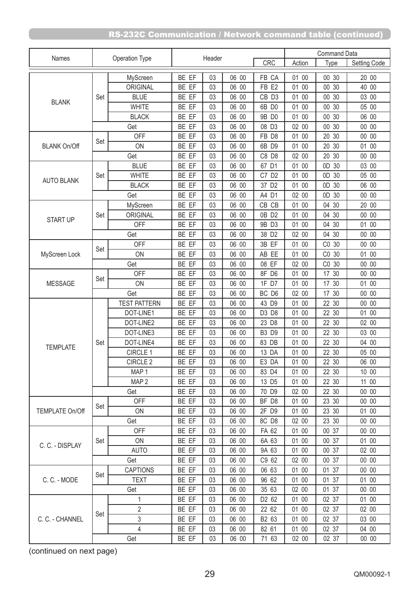| Names<br>CRC<br>Action<br>Setting Code<br>Type<br>BE EF<br>06 00<br>FB CA<br>01 00<br>00 30<br>20 00<br>MyScreen<br>03<br>BE EF<br>06 00<br>01 00<br>00 30<br>40 00<br>ORIGINAL<br>03<br>FB <sub>E2</sub><br><b>BLUE</b><br>30<br>03 00<br>Set<br>BE EF<br>03<br>06 00<br>CB D3<br>01 00<br>$00\,$<br><b>BLANK</b><br><b>WHITE</b><br>BE EF<br>06 00<br>6B D0<br>01 00<br>00 30<br>05 00<br>03<br>06 00<br>06 00<br><b>BLACK</b><br>BE EF<br>9B D0<br>01 00<br>00 30<br>03<br>BE EF<br>30<br>00 00<br>06 00<br>08 D3<br>02 00<br>$00\,$<br>Get<br>03<br><b>OFF</b><br>BE EF<br>06 00<br>FB D8<br>01 00<br>20 30<br>00 00<br>03<br>Set<br>ON<br>BE EF<br>06 00<br>6B D9<br>01 00<br>20 30<br>01 00<br><b>BLANK On/Off</b><br>03<br>BE EF<br>06 00<br>C8 D8<br>02 00<br>20<br>30<br>00 00<br>Get<br>03<br><b>BLUE</b><br>OD 30<br>03 00<br>BE EF<br>06 00<br>67 D1<br>01 00<br>03<br><b>WHITE</b><br>BE EF<br>06 00<br>C7 D2<br>01 00<br>OD 30<br>05 00<br>03<br>Set<br><b>AUTO BLANK</b><br>BE EF<br>06 00<br>37 D <sub>2</sub><br>06 00<br><b>BLACK</b><br>03<br>01 00<br>0D<br>30<br>00 00<br>BE EF<br>03<br>06 00<br>A4 D1<br>02 00<br>OD 30<br>Get<br>BE EF<br>06 00<br>CB CB<br>01 00<br>04 30<br>20 00<br>MyScreen<br>03<br>BE EF<br>30<br>00 00<br>ORIGINAL<br>03<br>06 00<br>0B D2<br>01 00<br>04<br>Set<br><b>START UP</b><br>06 00<br>01 00<br>04 30<br>01 00<br><b>OFF</b><br>BE EF<br>03<br>9B D3<br>BE EF<br>06 00<br>38 D <sub>2</sub><br>04 30<br>00 00<br>Get<br>03<br>02 00<br>BE EF<br>3B EF<br>00 00<br><b>OFF</b><br>03<br>06 00<br>01 00<br>CO<br>30<br>Set<br>01 00<br>ON<br>BE EF<br>03<br>06 00<br>AB EE<br>01 00<br>CO 30<br>MyScreen Lock<br>08 EF<br>Get<br>BE EF<br>06 00<br>02 00<br>CO 30<br>00 00<br>03<br><b>OFF</b><br>BE EF<br>8F D6<br>01 00<br>17 30<br>00 00<br>03<br>06 00<br>Set<br>BE EF<br>06 00<br>1F D7<br>01 00<br>17 30<br>01 00<br><b>MESSAGE</b><br>ON<br>03<br>06 00<br>BC D6<br>02 00<br>17 30<br>00 00<br>Get<br>BE EF<br>03<br><b>TEST PATTERN</b><br>BE EF<br>06 00<br>43 D9<br>01 00<br>22 30<br>00 00<br>03<br>BE EF<br>06 00<br>D3 D8<br>01 00<br>22 30<br>01 00<br>DOT-LINE1<br>03<br>BE EF<br>06 00<br>23 D8<br>01 00<br>22 30<br>02 00<br>DOT-LINE2<br>03 |                 | Operation Type |  | Header |  |  | <b>Command Data</b> |  |  |
|--------------------------------------------------------------------------------------------------------------------------------------------------------------------------------------------------------------------------------------------------------------------------------------------------------------------------------------------------------------------------------------------------------------------------------------------------------------------------------------------------------------------------------------------------------------------------------------------------------------------------------------------------------------------------------------------------------------------------------------------------------------------------------------------------------------------------------------------------------------------------------------------------------------------------------------------------------------------------------------------------------------------------------------------------------------------------------------------------------------------------------------------------------------------------------------------------------------------------------------------------------------------------------------------------------------------------------------------------------------------------------------------------------------------------------------------------------------------------------------------------------------------------------------------------------------------------------------------------------------------------------------------------------------------------------------------------------------------------------------------------------------------------------------------------------------------------------------------------------------------------------------------------------------------------------------------------------------------------------------------------------------------------------------------------------------------------------------------------------------------------------------------------------------------------------------------------------------------|-----------------|----------------|--|--------|--|--|---------------------|--|--|
|                                                                                                                                                                                                                                                                                                                                                                                                                                                                                                                                                                                                                                                                                                                                                                                                                                                                                                                                                                                                                                                                                                                                                                                                                                                                                                                                                                                                                                                                                                                                                                                                                                                                                                                                                                                                                                                                                                                                                                                                                                                                                                                                                                                                                    |                 |                |  |        |  |  |                     |  |  |
|                                                                                                                                                                                                                                                                                                                                                                                                                                                                                                                                                                                                                                                                                                                                                                                                                                                                                                                                                                                                                                                                                                                                                                                                                                                                                                                                                                                                                                                                                                                                                                                                                                                                                                                                                                                                                                                                                                                                                                                                                                                                                                                                                                                                                    |                 |                |  |        |  |  |                     |  |  |
|                                                                                                                                                                                                                                                                                                                                                                                                                                                                                                                                                                                                                                                                                                                                                                                                                                                                                                                                                                                                                                                                                                                                                                                                                                                                                                                                                                                                                                                                                                                                                                                                                                                                                                                                                                                                                                                                                                                                                                                                                                                                                                                                                                                                                    |                 |                |  |        |  |  |                     |  |  |
|                                                                                                                                                                                                                                                                                                                                                                                                                                                                                                                                                                                                                                                                                                                                                                                                                                                                                                                                                                                                                                                                                                                                                                                                                                                                                                                                                                                                                                                                                                                                                                                                                                                                                                                                                                                                                                                                                                                                                                                                                                                                                                                                                                                                                    |                 |                |  |        |  |  |                     |  |  |
|                                                                                                                                                                                                                                                                                                                                                                                                                                                                                                                                                                                                                                                                                                                                                                                                                                                                                                                                                                                                                                                                                                                                                                                                                                                                                                                                                                                                                                                                                                                                                                                                                                                                                                                                                                                                                                                                                                                                                                                                                                                                                                                                                                                                                    |                 |                |  |        |  |  |                     |  |  |
|                                                                                                                                                                                                                                                                                                                                                                                                                                                                                                                                                                                                                                                                                                                                                                                                                                                                                                                                                                                                                                                                                                                                                                                                                                                                                                                                                                                                                                                                                                                                                                                                                                                                                                                                                                                                                                                                                                                                                                                                                                                                                                                                                                                                                    |                 |                |  |        |  |  |                     |  |  |
|                                                                                                                                                                                                                                                                                                                                                                                                                                                                                                                                                                                                                                                                                                                                                                                                                                                                                                                                                                                                                                                                                                                                                                                                                                                                                                                                                                                                                                                                                                                                                                                                                                                                                                                                                                                                                                                                                                                                                                                                                                                                                                                                                                                                                    |                 |                |  |        |  |  |                     |  |  |
|                                                                                                                                                                                                                                                                                                                                                                                                                                                                                                                                                                                                                                                                                                                                                                                                                                                                                                                                                                                                                                                                                                                                                                                                                                                                                                                                                                                                                                                                                                                                                                                                                                                                                                                                                                                                                                                                                                                                                                                                                                                                                                                                                                                                                    |                 |                |  |        |  |  |                     |  |  |
|                                                                                                                                                                                                                                                                                                                                                                                                                                                                                                                                                                                                                                                                                                                                                                                                                                                                                                                                                                                                                                                                                                                                                                                                                                                                                                                                                                                                                                                                                                                                                                                                                                                                                                                                                                                                                                                                                                                                                                                                                                                                                                                                                                                                                    |                 |                |  |        |  |  |                     |  |  |
|                                                                                                                                                                                                                                                                                                                                                                                                                                                                                                                                                                                                                                                                                                                                                                                                                                                                                                                                                                                                                                                                                                                                                                                                                                                                                                                                                                                                                                                                                                                                                                                                                                                                                                                                                                                                                                                                                                                                                                                                                                                                                                                                                                                                                    |                 |                |  |        |  |  |                     |  |  |
|                                                                                                                                                                                                                                                                                                                                                                                                                                                                                                                                                                                                                                                                                                                                                                                                                                                                                                                                                                                                                                                                                                                                                                                                                                                                                                                                                                                                                                                                                                                                                                                                                                                                                                                                                                                                                                                                                                                                                                                                                                                                                                                                                                                                                    |                 |                |  |        |  |  |                     |  |  |
|                                                                                                                                                                                                                                                                                                                                                                                                                                                                                                                                                                                                                                                                                                                                                                                                                                                                                                                                                                                                                                                                                                                                                                                                                                                                                                                                                                                                                                                                                                                                                                                                                                                                                                                                                                                                                                                                                                                                                                                                                                                                                                                                                                                                                    |                 |                |  |        |  |  |                     |  |  |
|                                                                                                                                                                                                                                                                                                                                                                                                                                                                                                                                                                                                                                                                                                                                                                                                                                                                                                                                                                                                                                                                                                                                                                                                                                                                                                                                                                                                                                                                                                                                                                                                                                                                                                                                                                                                                                                                                                                                                                                                                                                                                                                                                                                                                    |                 |                |  |        |  |  |                     |  |  |
|                                                                                                                                                                                                                                                                                                                                                                                                                                                                                                                                                                                                                                                                                                                                                                                                                                                                                                                                                                                                                                                                                                                                                                                                                                                                                                                                                                                                                                                                                                                                                                                                                                                                                                                                                                                                                                                                                                                                                                                                                                                                                                                                                                                                                    |                 |                |  |        |  |  |                     |  |  |
|                                                                                                                                                                                                                                                                                                                                                                                                                                                                                                                                                                                                                                                                                                                                                                                                                                                                                                                                                                                                                                                                                                                                                                                                                                                                                                                                                                                                                                                                                                                                                                                                                                                                                                                                                                                                                                                                                                                                                                                                                                                                                                                                                                                                                    |                 |                |  |        |  |  |                     |  |  |
|                                                                                                                                                                                                                                                                                                                                                                                                                                                                                                                                                                                                                                                                                                                                                                                                                                                                                                                                                                                                                                                                                                                                                                                                                                                                                                                                                                                                                                                                                                                                                                                                                                                                                                                                                                                                                                                                                                                                                                                                                                                                                                                                                                                                                    |                 |                |  |        |  |  |                     |  |  |
|                                                                                                                                                                                                                                                                                                                                                                                                                                                                                                                                                                                                                                                                                                                                                                                                                                                                                                                                                                                                                                                                                                                                                                                                                                                                                                                                                                                                                                                                                                                                                                                                                                                                                                                                                                                                                                                                                                                                                                                                                                                                                                                                                                                                                    |                 |                |  |        |  |  |                     |  |  |
|                                                                                                                                                                                                                                                                                                                                                                                                                                                                                                                                                                                                                                                                                                                                                                                                                                                                                                                                                                                                                                                                                                                                                                                                                                                                                                                                                                                                                                                                                                                                                                                                                                                                                                                                                                                                                                                                                                                                                                                                                                                                                                                                                                                                                    |                 |                |  |        |  |  |                     |  |  |
|                                                                                                                                                                                                                                                                                                                                                                                                                                                                                                                                                                                                                                                                                                                                                                                                                                                                                                                                                                                                                                                                                                                                                                                                                                                                                                                                                                                                                                                                                                                                                                                                                                                                                                                                                                                                                                                                                                                                                                                                                                                                                                                                                                                                                    |                 |                |  |        |  |  |                     |  |  |
|                                                                                                                                                                                                                                                                                                                                                                                                                                                                                                                                                                                                                                                                                                                                                                                                                                                                                                                                                                                                                                                                                                                                                                                                                                                                                                                                                                                                                                                                                                                                                                                                                                                                                                                                                                                                                                                                                                                                                                                                                                                                                                                                                                                                                    |                 |                |  |        |  |  |                     |  |  |
|                                                                                                                                                                                                                                                                                                                                                                                                                                                                                                                                                                                                                                                                                                                                                                                                                                                                                                                                                                                                                                                                                                                                                                                                                                                                                                                                                                                                                                                                                                                                                                                                                                                                                                                                                                                                                                                                                                                                                                                                                                                                                                                                                                                                                    |                 |                |  |        |  |  |                     |  |  |
|                                                                                                                                                                                                                                                                                                                                                                                                                                                                                                                                                                                                                                                                                                                                                                                                                                                                                                                                                                                                                                                                                                                                                                                                                                                                                                                                                                                                                                                                                                                                                                                                                                                                                                                                                                                                                                                                                                                                                                                                                                                                                                                                                                                                                    |                 |                |  |        |  |  |                     |  |  |
|                                                                                                                                                                                                                                                                                                                                                                                                                                                                                                                                                                                                                                                                                                                                                                                                                                                                                                                                                                                                                                                                                                                                                                                                                                                                                                                                                                                                                                                                                                                                                                                                                                                                                                                                                                                                                                                                                                                                                                                                                                                                                                                                                                                                                    |                 |                |  |        |  |  |                     |  |  |
|                                                                                                                                                                                                                                                                                                                                                                                                                                                                                                                                                                                                                                                                                                                                                                                                                                                                                                                                                                                                                                                                                                                                                                                                                                                                                                                                                                                                                                                                                                                                                                                                                                                                                                                                                                                                                                                                                                                                                                                                                                                                                                                                                                                                                    |                 |                |  |        |  |  |                     |  |  |
|                                                                                                                                                                                                                                                                                                                                                                                                                                                                                                                                                                                                                                                                                                                                                                                                                                                                                                                                                                                                                                                                                                                                                                                                                                                                                                                                                                                                                                                                                                                                                                                                                                                                                                                                                                                                                                                                                                                                                                                                                                                                                                                                                                                                                    |                 |                |  |        |  |  |                     |  |  |
|                                                                                                                                                                                                                                                                                                                                                                                                                                                                                                                                                                                                                                                                                                                                                                                                                                                                                                                                                                                                                                                                                                                                                                                                                                                                                                                                                                                                                                                                                                                                                                                                                                                                                                                                                                                                                                                                                                                                                                                                                                                                                                                                                                                                                    |                 |                |  |        |  |  |                     |  |  |
|                                                                                                                                                                                                                                                                                                                                                                                                                                                                                                                                                                                                                                                                                                                                                                                                                                                                                                                                                                                                                                                                                                                                                                                                                                                                                                                                                                                                                                                                                                                                                                                                                                                                                                                                                                                                                                                                                                                                                                                                                                                                                                                                                                                                                    |                 |                |  |        |  |  |                     |  |  |
| 06 00<br><b>B3 D9</b><br>01 00<br>22 30<br>03 00<br>DOT-LINE3<br>BE EF<br>03                                                                                                                                                                                                                                                                                                                                                                                                                                                                                                                                                                                                                                                                                                                                                                                                                                                                                                                                                                                                                                                                                                                                                                                                                                                                                                                                                                                                                                                                                                                                                                                                                                                                                                                                                                                                                                                                                                                                                                                                                                                                                                                                       |                 |                |  |        |  |  |                     |  |  |
| BE EF<br>06 00<br>22 30<br>04 00<br>DOT-LINE4<br>03<br>83 DB<br>01 00                                                                                                                                                                                                                                                                                                                                                                                                                                                                                                                                                                                                                                                                                                                                                                                                                                                                                                                                                                                                                                                                                                                                                                                                                                                                                                                                                                                                                                                                                                                                                                                                                                                                                                                                                                                                                                                                                                                                                                                                                                                                                                                                              |                 | Set            |  |        |  |  |                     |  |  |
| <b>TEMPLATE</b><br>BE EF<br>13 DA<br>22 30<br>05 00<br>CIRCLE 1<br>03<br>06 00<br>01 00                                                                                                                                                                                                                                                                                                                                                                                                                                                                                                                                                                                                                                                                                                                                                                                                                                                                                                                                                                                                                                                                                                                                                                                                                                                                                                                                                                                                                                                                                                                                                                                                                                                                                                                                                                                                                                                                                                                                                                                                                                                                                                                            |                 |                |  |        |  |  |                     |  |  |
| 03<br>E3 DA<br>22 30<br>CIRCLE 2<br>BE EF<br>06 00<br>01 00<br>06 00                                                                                                                                                                                                                                                                                                                                                                                                                                                                                                                                                                                                                                                                                                                                                                                                                                                                                                                                                                                                                                                                                                                                                                                                                                                                                                                                                                                                                                                                                                                                                                                                                                                                                                                                                                                                                                                                                                                                                                                                                                                                                                                                               |                 |                |  |        |  |  |                     |  |  |
| BE EF<br>03<br>06 00<br>83 D4<br>01 00<br>22 30<br>10 00<br>MAP <sub>1</sub>                                                                                                                                                                                                                                                                                                                                                                                                                                                                                                                                                                                                                                                                                                                                                                                                                                                                                                                                                                                                                                                                                                                                                                                                                                                                                                                                                                                                                                                                                                                                                                                                                                                                                                                                                                                                                                                                                                                                                                                                                                                                                                                                       |                 |                |  |        |  |  |                     |  |  |
| MAP <sub>2</sub><br>11 00<br>BE EF<br>06 00<br>13 D <sub>5</sub><br>01 00<br>22 30<br>03                                                                                                                                                                                                                                                                                                                                                                                                                                                                                                                                                                                                                                                                                                                                                                                                                                                                                                                                                                                                                                                                                                                                                                                                                                                                                                                                                                                                                                                                                                                                                                                                                                                                                                                                                                                                                                                                                                                                                                                                                                                                                                                           |                 |                |  |        |  |  |                     |  |  |
| BE EF<br>70 D9<br>00 00<br>03<br>06 00<br>02 00<br>22 30<br>Get                                                                                                                                                                                                                                                                                                                                                                                                                                                                                                                                                                                                                                                                                                                                                                                                                                                                                                                                                                                                                                                                                                                                                                                                                                                                                                                                                                                                                                                                                                                                                                                                                                                                                                                                                                                                                                                                                                                                                                                                                                                                                                                                                    |                 |                |  |        |  |  |                     |  |  |
| <b>OFF</b><br>BE EF<br>03<br>06 00<br>BF D8<br>01 00<br>23 30<br>00 00                                                                                                                                                                                                                                                                                                                                                                                                                                                                                                                                                                                                                                                                                                                                                                                                                                                                                                                                                                                                                                                                                                                                                                                                                                                                                                                                                                                                                                                                                                                                                                                                                                                                                                                                                                                                                                                                                                                                                                                                                                                                                                                                             |                 |                |  |        |  |  |                     |  |  |
| Set<br><b>TEMPLATE On/Off</b><br>ON<br>01 00<br>01 00<br>BE EF<br>03<br>06 00<br>2F D9<br>23 30                                                                                                                                                                                                                                                                                                                                                                                                                                                                                                                                                                                                                                                                                                                                                                                                                                                                                                                                                                                                                                                                                                                                                                                                                                                                                                                                                                                                                                                                                                                                                                                                                                                                                                                                                                                                                                                                                                                                                                                                                                                                                                                    |                 |                |  |        |  |  |                     |  |  |
| 8C D8<br>00 00<br>Get<br>BE EF<br>06 00<br>02 00<br>23 30<br>03                                                                                                                                                                                                                                                                                                                                                                                                                                                                                                                                                                                                                                                                                                                                                                                                                                                                                                                                                                                                                                                                                                                                                                                                                                                                                                                                                                                                                                                                                                                                                                                                                                                                                                                                                                                                                                                                                                                                                                                                                                                                                                                                                    |                 |                |  |        |  |  |                     |  |  |
| <b>OFF</b><br>BE EF<br>03<br>06 00<br>FA 62<br>01 00<br>00 37<br>00 00                                                                                                                                                                                                                                                                                                                                                                                                                                                                                                                                                                                                                                                                                                                                                                                                                                                                                                                                                                                                                                                                                                                                                                                                                                                                                                                                                                                                                                                                                                                                                                                                                                                                                                                                                                                                                                                                                                                                                                                                                                                                                                                                             |                 |                |  |        |  |  |                     |  |  |
| Set<br>ON<br>BE EF<br>03<br>06 00<br>6A 63<br>01 00<br>00 37<br>01 00                                                                                                                                                                                                                                                                                                                                                                                                                                                                                                                                                                                                                                                                                                                                                                                                                                                                                                                                                                                                                                                                                                                                                                                                                                                                                                                                                                                                                                                                                                                                                                                                                                                                                                                                                                                                                                                                                                                                                                                                                                                                                                                                              |                 |                |  |        |  |  |                     |  |  |
| <b>AUTO</b><br>BE EF<br>06 00<br>9A 63<br>01 00<br>00 37<br>02 00<br>03                                                                                                                                                                                                                                                                                                                                                                                                                                                                                                                                                                                                                                                                                                                                                                                                                                                                                                                                                                                                                                                                                                                                                                                                                                                                                                                                                                                                                                                                                                                                                                                                                                                                                                                                                                                                                                                                                                                                                                                                                                                                                                                                            | C. C. - DISPLAY |                |  |        |  |  |                     |  |  |
| Get<br>BE EF<br>03<br>C9 62<br>02 00<br>00 00<br>06 00<br>00 37                                                                                                                                                                                                                                                                                                                                                                                                                                                                                                                                                                                                                                                                                                                                                                                                                                                                                                                                                                                                                                                                                                                                                                                                                                                                                                                                                                                                                                                                                                                                                                                                                                                                                                                                                                                                                                                                                                                                                                                                                                                                                                                                                    |                 |                |  |        |  |  |                     |  |  |
| <b>CAPTIONS</b><br>06 63<br>01 00<br>00 00<br>BE EF<br>03<br>06 00<br>01 37                                                                                                                                                                                                                                                                                                                                                                                                                                                                                                                                                                                                                                                                                                                                                                                                                                                                                                                                                                                                                                                                                                                                                                                                                                                                                                                                                                                                                                                                                                                                                                                                                                                                                                                                                                                                                                                                                                                                                                                                                                                                                                                                        |                 |                |  |        |  |  |                     |  |  |
| Set<br>C.C. - MODE<br>BE EF<br>96 62<br><b>TEXT</b><br>03<br>06 00<br>01 00<br>01 37<br>01 00                                                                                                                                                                                                                                                                                                                                                                                                                                                                                                                                                                                                                                                                                                                                                                                                                                                                                                                                                                                                                                                                                                                                                                                                                                                                                                                                                                                                                                                                                                                                                                                                                                                                                                                                                                                                                                                                                                                                                                                                                                                                                                                      |                 |                |  |        |  |  |                     |  |  |
| BE EF<br>35 63<br>02 00<br>01 37<br>00 00<br>Get<br>03<br>06 00                                                                                                                                                                                                                                                                                                                                                                                                                                                                                                                                                                                                                                                                                                                                                                                                                                                                                                                                                                                                                                                                                                                                                                                                                                                                                                                                                                                                                                                                                                                                                                                                                                                                                                                                                                                                                                                                                                                                                                                                                                                                                                                                                    |                 |                |  |        |  |  |                     |  |  |
| 1<br>01 00<br>01 00<br>BE EF<br>03<br>06 00<br>D <sub>2</sub> 6 <sub>2</sub><br>02 37                                                                                                                                                                                                                                                                                                                                                                                                                                                                                                                                                                                                                                                                                                                                                                                                                                                                                                                                                                                                                                                                                                                                                                                                                                                                                                                                                                                                                                                                                                                                                                                                                                                                                                                                                                                                                                                                                                                                                                                                                                                                                                                              |                 |                |  |        |  |  |                     |  |  |
| 2<br>22 62<br>BE EF<br>06 00<br>01 00<br>02 37<br>02 00<br>03                                                                                                                                                                                                                                                                                                                                                                                                                                                                                                                                                                                                                                                                                                                                                                                                                                                                                                                                                                                                                                                                                                                                                                                                                                                                                                                                                                                                                                                                                                                                                                                                                                                                                                                                                                                                                                                                                                                                                                                                                                                                                                                                                      |                 |                |  |        |  |  |                     |  |  |
| 3<br>C. C. - CHANNEL<br>BE EF<br>03<br>B2 63<br>01 00<br>03 00<br>06 00<br>02 37                                                                                                                                                                                                                                                                                                                                                                                                                                                                                                                                                                                                                                                                                                                                                                                                                                                                                                                                                                                                                                                                                                                                                                                                                                                                                                                                                                                                                                                                                                                                                                                                                                                                                                                                                                                                                                                                                                                                                                                                                                                                                                                                   |                 | Set            |  |        |  |  |                     |  |  |
| 4<br>06 00<br>82 61<br>01 00<br>04 00<br>BE EF<br>03<br>02 37                                                                                                                                                                                                                                                                                                                                                                                                                                                                                                                                                                                                                                                                                                                                                                                                                                                                                                                                                                                                                                                                                                                                                                                                                                                                                                                                                                                                                                                                                                                                                                                                                                                                                                                                                                                                                                                                                                                                                                                                                                                                                                                                                      |                 |                |  |        |  |  |                     |  |  |
| 03<br>06 00<br>71 63<br>02 00<br>02 37<br>00 00<br>BE EF<br>Get                                                                                                                                                                                                                                                                                                                                                                                                                                                                                                                                                                                                                                                                                                                                                                                                                                                                                                                                                                                                                                                                                                                                                                                                                                                                                                                                                                                                                                                                                                                                                                                                                                                                                                                                                                                                                                                                                                                                                                                                                                                                                                                                                    |                 |                |  |        |  |  |                     |  |  |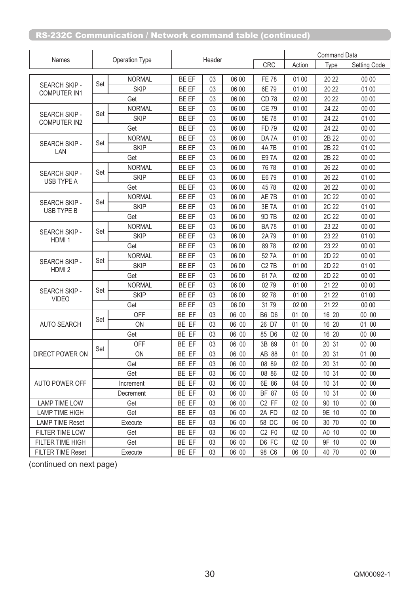| Names                                     | Operation Type |               | Header |    |            |                   | <b>Command Data</b> |                     |       |
|-------------------------------------------|----------------|---------------|--------|----|------------|-------------------|---------------------|---------------------|-------|
|                                           |                |               |        |    | <b>CRC</b> | Action            | Type                | <b>Setting Code</b> |       |
| SEARCH SKIP -<br><b>COMPUTER IN1</b>      |                | <b>NORMAL</b> | BE EF  | 03 | 06 00      | <b>FE 78</b>      | 01 00               | 20 22               | 00 00 |
|                                           | Set            | <b>SKIP</b>   | BE EF  | 03 | 06 00      | 6E 79             | 01 00               | 20 22               | 01 00 |
|                                           |                | Get           | BE EF  | 03 | 06 00      | CD 78             | 02 00               | 20 22               | 00 00 |
|                                           |                | <b>NORMAL</b> | BE EF  | 03 | 06 00      | <b>CE 79</b>      | 01 00               | 24 22               | 00 00 |
| SEARCH SKIP -<br><b>COMPUTER IN2</b>      | Set            | <b>SKIP</b>   | BE EF  | 03 | 06 00      | 5E 78             | 01 00               | 24 22               | 01 00 |
|                                           |                | Get           | BE EF  | 03 | 06 00      | FD 79             | 02 00               | 24 22               | 00 00 |
|                                           |                | <b>NORMAL</b> | BE EF  | 03 | 06 00      | DA 7A             | 01 00               | 2B 22               | 00 00 |
| SEARCH SKIP -<br>LAN                      | Set            | <b>SKIP</b>   | BE EF  | 03 | 06 00      | <b>4A7B</b>       | 01 00               | 2B 22               | 01 00 |
|                                           |                | Get           | BE EF  | 03 | 06 00      | E97A              | 02 00               | 2B 22               | 00 00 |
|                                           |                | <b>NORMAL</b> | BE EF  | 03 | 06 00      | 76 78             | 01 00               | 26 22               | 00 00 |
| SEARCH SKIP -<br>USB TYPE A               | Set            | <b>SKIP</b>   | BE EF  | 03 | 06 00      | E6 79             | 01 00               | 26 22               | 01 00 |
|                                           |                | Get           | BE EF  | 03 | 06 00      | 4578              | 02 00               | 26 22               | 00 00 |
|                                           |                | <b>NORMAL</b> | BE EF  | 03 | 06 00      | AE 7B             | 01 00               | 2C 22               | 00 00 |
| <b>SEARCH SKIP -</b><br><b>USB TYPE B</b> | Set            | <b>SKIP</b>   | BE EF  | 03 | 06 00      | 3E 7A             | 01 00               | 2C 22               | 01 00 |
|                                           |                | Get           | BE EF  | 03 | 06 00      | 9D 7B             | 02 00               | 2C 22               | 00 00 |
|                                           | Set            | <b>NORMAL</b> | BE EF  | 03 | 06 00      | <b>BA78</b>       | 01 00               | 23 22               | 00 00 |
| SEARCH SKIP -<br>HDMI <sub>1</sub>        |                | <b>SKIP</b>   | BE EF  | 03 | 06 00      | 2A79              | 01 00               | 23 22               | 01 00 |
|                                           |                | Get           | BE EF  | 03 | 06 00      | 8978              | 02 00               | 23 22               | 00 00 |
| SEARCH SKIP -<br>HDMI <sub>2</sub>        | Set            | <b>NORMAL</b> | BE EF  | 03 | 06 00      | 52 7A             | 01 00               | 2D 22               | 00 00 |
|                                           |                | <b>SKIP</b>   | BE EF  | 03 | 06 00      | <b>C27B</b>       | 01 00               | 2D 22               | 01 00 |
|                                           |                | Get           | BE EF  | 03 | 06 00      | 617A              | 02 00               | 2D 22               | 00 00 |
|                                           | Set            | <b>NORMAL</b> | BE EF  | 03 | 06 00      | 02 79             | 01 00               | 21 22               | 00 00 |
| SEARCH SKIP -<br><b>VIDEO</b>             |                | <b>SKIP</b>   | BE EF  | 03 | 06 00      | 92 78             | 01 00               | 21 22               | 01 00 |
|                                           |                | Get           | BE EF  | 03 | 06 00      | 3179              | 02 00               | 21 22               | 00 00 |
|                                           | Set            | OFF           | BE EF  | 03 | 06 00      | <b>B6 D6</b>      | 01 00               | 16 20               | 00 00 |
| <b>AUTO SEARCH</b>                        |                | ON            | BE EF  | 03 | 06 00      | 26 D7             | 01 00               | 16 20               | 01 00 |
|                                           |                | Get           | BE EF  | 03 | 06 00      | 85 D6             | 02 00               | 16 20               | 00 00 |
|                                           | Set            | <b>OFF</b>    | BE EF  | 03 | 06 00      | 3B 89             | 01 00               | 20 31               | 00 00 |
| DIRECT POWER ON                           |                | ON            | BE EF  | 03 | 06 00      | AB 88             | 01 00               | 20 31               | 01 00 |
|                                           |                | Get           | BE EF  | 03 | 06 00      | 08 89             | 02 00               | 20 31               | 0000  |
|                                           |                | Get           | BE EF  | 03 | 06 00      | 08 86             | 02 00               | 10 31               | 00 00 |
| AUTO POWER OFF                            | Increment      |               | BE EF  | 03 | 06 00      | 6E 86             | 04 00               | 10 31               | 00 00 |
|                                           | Decrement      |               | BE EF  | 03 | 06 00      | BF 87             | 05 00               | 10 31               | 00 00 |
| <b>LAMP TIME LOW</b>                      | Get            |               | BE EF  | 03 | 06 00      | C <sub>2</sub> FF | 02 00               | 90 10               | 00 00 |
| <b>LAMP TIME HIGH</b>                     | Get            |               | BE EF  | 03 | 06 00      | 2A FD             | 02 00               | 9E 10               | 00 00 |
| <b>LAMP TIME Reset</b>                    | Execute        |               | BE EF  | 03 | 06 00      | 58 DC             | 06 00               | 30 70               | 00 00 |
| FILTER TIME LOW                           |                | Get           | BE EF  | 03 | 06 00      | $C2$ FO           | 02 00               | A0 10               | 00 00 |
| FILTER TIME HIGH                          |                | Get           | BE EF  | 03 | 06 00      | D6 FC             | 02 00               | 9F 10               | 00 00 |
| <b>FILTER TIME Reset</b>                  |                | Execute       | BE EF  | 03 | 06 00      | 98 C6             | 06 00               | 40 70               | 00 00 |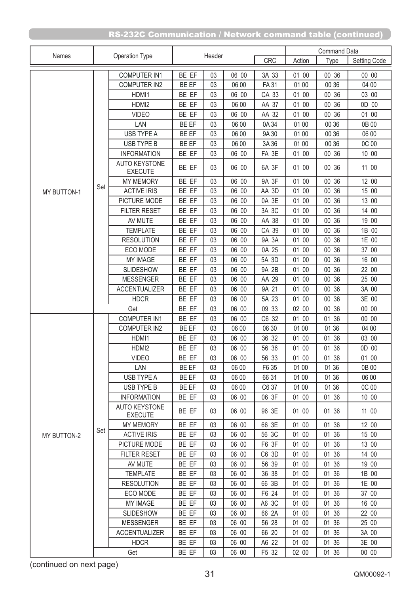|                    | Operation Type<br>Names |                                        |                |          |                |                | <b>Command Data</b> |                |                |
|--------------------|-------------------------|----------------------------------------|----------------|----------|----------------|----------------|---------------------|----------------|----------------|
|                    |                         |                                        | Header         |          |                | CRC            | Action              | Type           | Setting Code   |
|                    |                         | <b>COMPUTER IN1</b>                    | BE EF          | 03       | 06 00          | 3A 33          | 01 00               | 00 36          | 00 00          |
|                    |                         | <b>COMPUTER IN2</b>                    | BE EF          | 03       | 06 00          | <b>FA31</b>    | 01 00               | 00 36          | 04 00          |
|                    |                         | HDMI1                                  | BE EF          | 03       | 06 00          | CA 33          | 01 00               | 00 36          | 03 00          |
|                    |                         | HDMI2                                  | BE EF          | 03       | 06 00          | AA 37          | 01 00               | 00 36          | 0D 00          |
|                    |                         | <b>VIDEO</b>                           | BE EF          | 03       | 06 00          | AA 32          | 01 00               | 00 36          | 01 00          |
|                    |                         | LAN                                    | BE EF          | 03       | 06 00          | 0A 34          | 01 00               | 00 36          | 0B 00          |
|                    |                         | USB TYPE A                             | BE EF          | 03       | 06 00          | 9A 30          | 01 00               | 00 36          | 06 00          |
|                    |                         | USB TYPE B                             | BE EF          | 03       | 06 00          | 3A 36          | 01 00               | 00 36          | 0C 00          |
|                    |                         | <b>INFORMATION</b>                     | BE EF          | 03       | 06 00          | FA 3E          | 01 00               | 00 36          | 10 00          |
|                    |                         | <b>AUTO KEYSTONE</b><br><b>EXECUTE</b> | BE EF          | 03       | 06 00          | 6A 3F          | 01 00               | 00 36          | 11 00          |
|                    |                         | <b>MY MEMORY</b>                       | BE EF          | 03       | 06 00          | 9A 3F          | 01 00               | 00 36          | 12 00          |
| <b>MY BUTTON-1</b> | Set                     | <b>ACTIVE IRIS</b>                     | BE EF          | 03       | 06 00          | AA 3D          | 01 00               | 00 36          | 15 00          |
|                    |                         | PICTURE MODE                           | BE EF          | 03       | 06 00          | 0A 3E          | 01 00               | 00 36          | 13 00          |
|                    |                         | <b>FILTER RESET</b>                    | BE EF          | 03       | 06 00          | 3A 3C          | 01 00               | 00 36          | 14 00          |
|                    |                         | AV MUTE                                | BE EF          | 03       | 06 00          | AA 38          | 01 00               | $00\,$<br>36   | 19 00          |
|                    |                         | <b>TEMPLATE</b>                        | BE EF          | 03       | 06 00          | CA 39          | 01 00               | 00 36          | 1B 00          |
|                    |                         | <b>RESOLUTION</b>                      | BE EF          | 03       | 06 00          | 9A 3A          | 01 00               | 00 36          | 1E 00          |
|                    |                         | ECO MODE                               | BE EF          | 03       | 06 00          | 0A 25          | 01 00               | 00 36          | 37 00          |
|                    |                         | MY IMAGE                               | BE EF          | 03       | 06 00          | 5A 3D          | 01 00               | 00 36          | 16 00          |
|                    |                         | <b>SLIDESHOW</b>                       | BE EF          | 03       | 06 00          | 9A 2B          | 01 00               | 00 36          | 22 00          |
|                    |                         | <b>MESSENGER</b>                       | BE EF          | 03       | 06 00          | AA 29          | 01 00               | 00 36          | 25 00          |
|                    |                         | <b>ACCENTUALIZER</b>                   | BE EF          | 03       | 06 00          | 9A 21          | 01 00               | 00 36          | 3A 00          |
|                    |                         | <b>HDCR</b>                            | BE EF          | 03       | 06 00          | 5A 23          | 01 00               | 00 36          | 3E 00          |
|                    |                         | Get                                    | BE EF          | 03       | 06 00          | 09 33          | 02 00               | 00 36          | 00 00          |
|                    |                         | <b>COMPUTER IN1</b>                    | BE EF          | 03       | 06 00          | C6 32          | 01 00               | 01 36          | 00 00          |
|                    |                         | <b>COMPUTER IN2</b>                    | BE EF          | 03       | 06 00          | 06 30          | 01 00               | 01 36          | 04 00          |
|                    |                         | HDMI1                                  | BE EF          | 03       | 06 00          | 36 32          | 01 00               | 01 36          | 03 00          |
|                    |                         | HDMI2                                  | BE EF          | 03       | 06 00          | 56 36          | 01 00               | 01 36<br>01 36 | 0D 00<br>01 00 |
|                    |                         | <b>VIDEO</b><br>LAN                    | BE EF<br>BE EF | 03       | 06 00          | 56 33          | 01 00               |                |                |
|                    |                         | USB TYPE A                             | BE EF          | 03<br>03 | 06 00<br>06 00 | F6 35<br>66 31 | 01 00<br>01 00      | 01 36<br>01 36 | 0B 00<br>06 00 |
|                    |                         | USB TYPE B                             | BE EF          | 03       | 06 00          | C6 37          | 01 00               | 01 36          | 0C 00          |
|                    |                         | <b>INFORMATION</b>                     | BE EF          | 03       | 06 00          | 06 3F          | 01 00               | 01 36          | 10 00          |
|                    |                         | <b>AUTO KEYSTONE</b><br><b>EXECUTE</b> | BE EF          | 03       | 06 00          | 96 3E          | 01 00               | 01 36          | 11 00          |
|                    |                         | <b>MY MEMORY</b>                       | BE EF          | 03       | 06 00          | 66 3E          | 01 00               | 01 36          | 12 00          |
| MY BUTTON-2        | Set                     | <b>ACTIVE IRIS</b>                     | BE EF          | 03       | 06 00          | 56 3C          | 01 00               | 01 36          | 15 00          |
|                    |                         | PICTURE MODE                           | BE EF          | 03       | 06 00          | F6 3F          | 01 00               | 01 36          | 13 00          |
|                    |                         | <b>FILTER RESET</b>                    | BE EF          | 03       | 06 00          | C6 3D          | 01 00               | 01 36          | 14 00          |
|                    |                         | AV MUTE                                | BE EF          | 03       | 06 00          | 56 39          | 01 00               | 01 36          | 19 00          |
|                    |                         | <b>TEMPLATE</b>                        | BE EF          | 03       | 06 00          | 36 38          | 01 00               | 01 36          | 1B 00          |
|                    |                         | <b>RESOLUTION</b>                      | BE EF          | 03       | 06 00          | 66 3B          | 01 00               | 01 36          | 1E 00          |
|                    |                         | ECO MODE                               | BE EF          | 03       | 06 00          | F6 24          | 01 00               | 01 36          | 37 00          |
|                    |                         | MY IMAGE                               | BE EF          | 03       | 06 00          | A6 3C          | 01 00               | 01 36          | 16 00          |
|                    |                         | <b>SLIDESHOW</b>                       | BE EF          | 03       | 06 00          | 66 2A          | 01 00               | 01 36          | 22 00          |
|                    |                         | <b>MESSENGER</b>                       | BE EF          | 03       | 06 00          | 56 28          | 01 00               | 01 36          | 25 00          |
|                    |                         | <b>ACCENTUALIZER</b>                   | BE EF          | 03       | 06 00          | 66 20          | 01 00               | 01 36          | 3A 00          |
|                    |                         | <b>HDCR</b>                            | BE EF          | 03       | 06 00          | A6 22          | 01 00               | 01 36          | 3E 00          |
|                    | Get                     |                                        | BE EF          | 03       | 06 00          | F5 32          | 02 00               | 01 36          | 00 00          |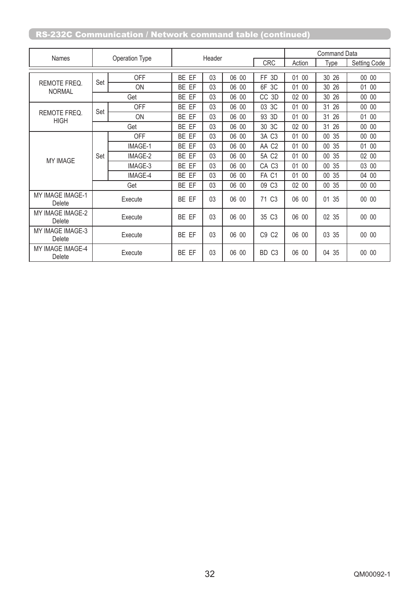|                             |                       |            | Header |    |       |                      | <b>Command Data</b> |              |              |
|-----------------------------|-----------------------|------------|--------|----|-------|----------------------|---------------------|--------------|--------------|
| <b>Names</b>                | <b>Operation Type</b> |            |        |    |       |                      | Action              | Type         | Setting Code |
|                             |                       | <b>OFF</b> | BE EF  | 03 | 06 00 | 3D<br>FF.            | 00<br>01            | 26<br>30     | 00 00        |
| REMOTE FREQ.                | Set                   | <b>ON</b>  | BE EF  | 03 | 06 00 | 6F 3C                | 01 00               | 30 26        | 01 00        |
| <b>NORMAL</b>               |                       | Get        | BE EF  | 03 | 06 00 | CC 3D                | 02 00               | 30<br>26     | 00 00        |
|                             |                       | <b>OFF</b> | BE EF  | 03 | 06 00 | 3C<br>03             | 01 00               | 31<br>26     | 00 00        |
| REMOTE FREQ.<br><b>HIGH</b> | Set                   | ON         | BE EF  | 03 | 06 00 | 93 3D                | 01 00               | 31<br>26     | 01 00        |
|                             |                       | Get        | BE EF  | 03 | 06 00 | 30 3C                | 02 00               | 26<br>31     | 00 00        |
|                             | Set                   | <b>OFF</b> | BE EF  | 03 | 06 00 | 3A C3                | 01 00               | 35<br>$00\,$ | 00 00        |
|                             |                       | IMAGE-1    | BE EF  | 03 | 06 00 | AA C2                | 01 00               | 35<br>00     | 01 00        |
| <b>MY IMAGE</b>             |                       | IMAGE-2    | BE EF  | 03 | 06 00 | 5A C2                | 01 00               | $00\,$<br>35 | 02 00        |
|                             |                       | IMAGE-3    | BE EF  | 03 | 06 00 | CA C <sub>3</sub>    | 01 00               | 35<br>00     | 03 00        |
|                             |                       | IMAGE-4    | BE EF  | 03 | 06 00 | FA C1                | 01 00               | 00<br>35     | 04 00        |
|                             |                       | Get        | BE EF  | 03 | 06 00 | 09<br>C <sub>3</sub> | 02 00               | 35<br>00     | 00 00        |
| MY IMAGE IMAGE-1<br>Delete  | Execute               |            | BE EF  | 03 | 06 00 | 71 C <sub>3</sub>    | 06 00               | 35<br>01     | 00 00        |
| MY IMAGE IMAGE-2<br>Delete  | Execute               |            | BE EF  | 03 | 06 00 | 35 C3                | 06 00               | 02 35        | 00 00        |
| MY IMAGE IMAGE-3<br>Delete  | Execute               |            | BE EF  | 03 | 06 00 | C9 C2                | 06 00               | 03 35        | 00 00        |
| MY IMAGE IMAGE-4<br>Delete  |                       | Execute    | BE EF  | 03 | 06 00 | BD C <sub>3</sub>    | 06 00               | 04 35        | 00 00        |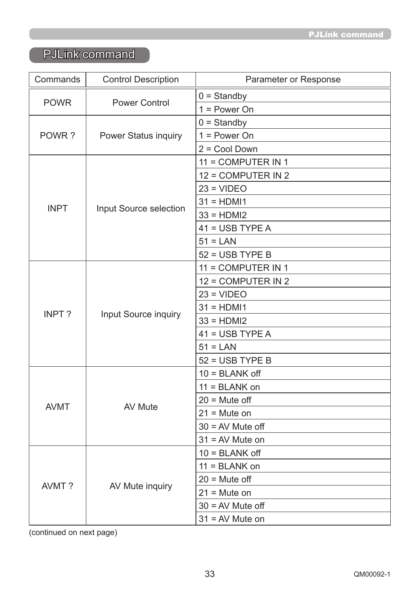# PJLink command

| Commands     | <b>Control Description</b>    | Parameter or Response |  |  |  |  |  |
|--------------|-------------------------------|-----------------------|--|--|--|--|--|
|              |                               | $0 =$ Standby         |  |  |  |  |  |
| <b>POWR</b>  | <b>Power Control</b>          | $1 = Power On$        |  |  |  |  |  |
|              |                               | $0 =$ Standby         |  |  |  |  |  |
| POWR?        | <b>Power Status inquiry</b>   | $1 = Power On$        |  |  |  |  |  |
|              |                               | $2 = Cool Down$       |  |  |  |  |  |
|              |                               | 11 = COMPUTER IN 1    |  |  |  |  |  |
|              |                               | 12 = COMPUTER IN 2    |  |  |  |  |  |
|              |                               | $23 = VIDEO$          |  |  |  |  |  |
| <b>INPT</b>  |                               | $31 = HDM11$          |  |  |  |  |  |
|              | <b>Input Source selection</b> | $33 = HDMI2$          |  |  |  |  |  |
|              |                               | $41 = USB TYPE A$     |  |  |  |  |  |
|              |                               | $51 = LAN$            |  |  |  |  |  |
|              |                               | $52 = USB TYPE B$     |  |  |  |  |  |
|              |                               | 11 = COMPUTER IN 1    |  |  |  |  |  |
|              | <b>Input Source inquiry</b>   | 12 = COMPUTER IN 2    |  |  |  |  |  |
|              |                               | $23 = VIDEO$          |  |  |  |  |  |
| <b>INPT?</b> |                               | $31 = HDM11$          |  |  |  |  |  |
|              |                               | $33 = HDMI2$          |  |  |  |  |  |
|              |                               | $41 = USB TYPE A$     |  |  |  |  |  |
|              |                               | $51 = LAN$            |  |  |  |  |  |
|              |                               | $52 = USB TYPE B$     |  |  |  |  |  |
|              |                               | $10 = BLANK$ off      |  |  |  |  |  |
|              |                               | $11 = BLANK$ on       |  |  |  |  |  |
| <b>AVMT</b>  | <b>AV Mute</b>                | $20 =$ Mute off       |  |  |  |  |  |
|              |                               | $21 =$ Mute on        |  |  |  |  |  |
|              |                               | $30 = AV$ Mute off    |  |  |  |  |  |
|              |                               | $31 = AV$ Mute on     |  |  |  |  |  |
|              |                               | $10 = BLANK$ off      |  |  |  |  |  |
|              |                               | $11 = BLANK$ on       |  |  |  |  |  |
| AVMT?        | AV Mute inquiry               | $20 =$ Mute off       |  |  |  |  |  |
|              |                               | $21 =$ Mute on        |  |  |  |  |  |
|              |                               | $30 = AV$ Mute off    |  |  |  |  |  |
|              |                               | $31 = AV$ Mute on     |  |  |  |  |  |